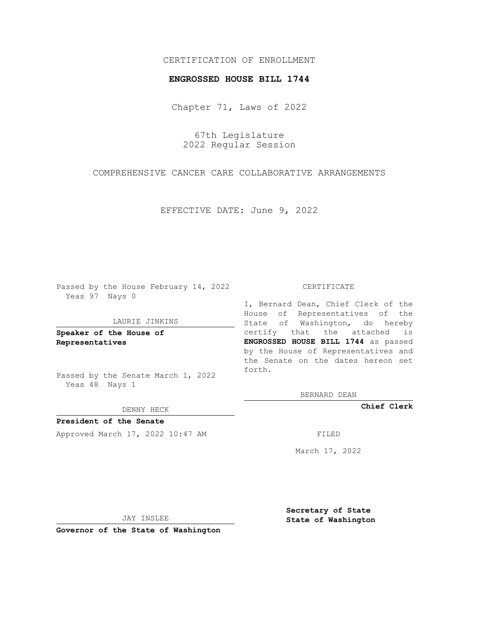# CERTIFICATION OF ENROLLMENT

### **ENGROSSED HOUSE BILL 1744**

Chapter 71, Laws of 2022

67th Legislature 2022 Regular Session

COMPREHENSIVE CANCER CARE COLLABORATIVE ARRANGEMENTS

EFFECTIVE DATE: June 9, 2022

Passed by the House February 14, 2022 Yeas 97 Nays 0

#### LAURIE JINKINS

**Speaker of the House of Representatives**

Passed by the Senate March 1, 2022 Yeas 48 Nays 1

#### DENNY HECK

**President of the Senate** Approved March 17, 2022 10:47 AM FILED

#### CERTIFICATE

I, Bernard Dean, Chief Clerk of the House of Representatives of the State of Washington, do hereby certify that the attached is **ENGROSSED HOUSE BILL 1744** as passed by the House of Representatives and the Senate on the dates hereon set forth.

BERNARD DEAN

**Chief Clerk**

March 17, 2022

JAY INSLEE

**Governor of the State of Washington**

**Secretary of State State of Washington**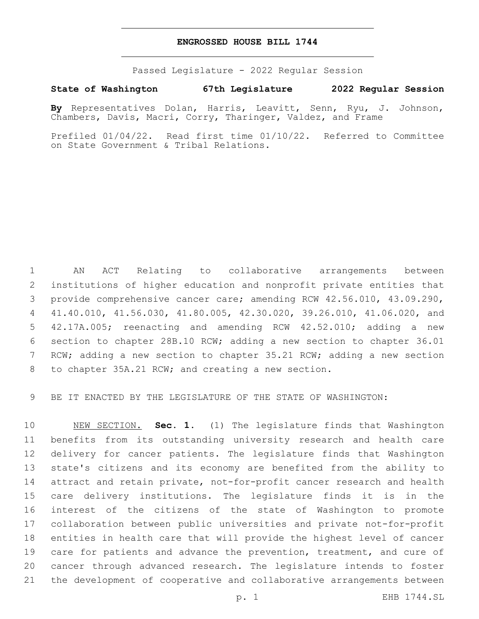## **ENGROSSED HOUSE BILL 1744**

Passed Legislature - 2022 Regular Session

# **State of Washington 67th Legislature 2022 Regular Session**

**By** Representatives Dolan, Harris, Leavitt, Senn, Ryu, J. Johnson, Chambers, Davis, Macri, Corry, Tharinger, Valdez, and Frame

Prefiled 01/04/22. Read first time 01/10/22. Referred to Committee on State Government & Tribal Relations.

 AN ACT Relating to collaborative arrangements between institutions of higher education and nonprofit private entities that provide comprehensive cancer care; amending RCW 42.56.010, 43.09.290, 41.40.010, 41.56.030, 41.80.005, 42.30.020, 39.26.010, 41.06.020, and 42.17A.005; reenacting and amending RCW 42.52.010; adding a new section to chapter 28B.10 RCW; adding a new section to chapter 36.01 RCW; adding a new section to chapter 35.21 RCW; adding a new section 8 to chapter 35A.21 RCW; and creating a new section.

BE IT ENACTED BY THE LEGISLATURE OF THE STATE OF WASHINGTON:

 NEW SECTION. **Sec. 1.** (1) The legislature finds that Washington benefits from its outstanding university research and health care delivery for cancer patients. The legislature finds that Washington state's citizens and its economy are benefited from the ability to attract and retain private, not-for-profit cancer research and health care delivery institutions. The legislature finds it is in the interest of the citizens of the state of Washington to promote collaboration between public universities and private not-for-profit entities in health care that will provide the highest level of cancer 19 care for patients and advance the prevention, treatment, and cure of cancer through advanced research. The legislature intends to foster the development of cooperative and collaborative arrangements between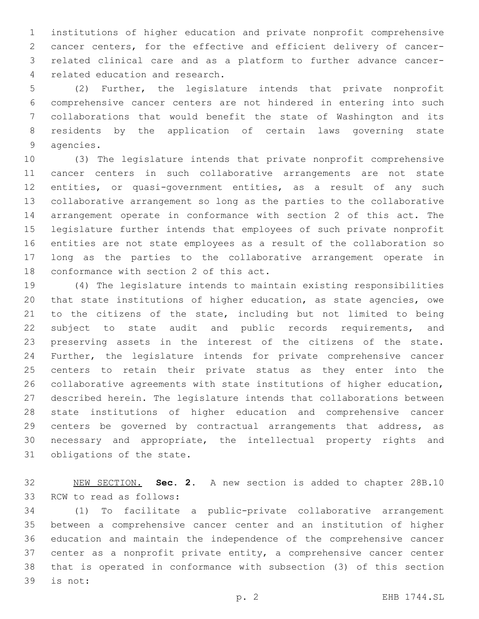institutions of higher education and private nonprofit comprehensive cancer centers, for the effective and efficient delivery of cancer- related clinical care and as a platform to further advance cancer-4 related education and research.

 (2) Further, the legislature intends that private nonprofit comprehensive cancer centers are not hindered in entering into such collaborations that would benefit the state of Washington and its residents by the application of certain laws governing state 9 agencies.

 (3) The legislature intends that private nonprofit comprehensive cancer centers in such collaborative arrangements are not state entities, or quasi-government entities, as a result of any such collaborative arrangement so long as the parties to the collaborative arrangement operate in conformance with section 2 of this act. The legislature further intends that employees of such private nonprofit entities are not state employees as a result of the collaboration so long as the parties to the collaborative arrangement operate in 18 conformance with section 2 of this act.

 (4) The legislature intends to maintain existing responsibilities that state institutions of higher education, as state agencies, owe to the citizens of the state, including but not limited to being 22 subject to state audit and public records requirements, and preserving assets in the interest of the citizens of the state. Further, the legislature intends for private comprehensive cancer centers to retain their private status as they enter into the collaborative agreements with state institutions of higher education, described herein. The legislature intends that collaborations between state institutions of higher education and comprehensive cancer centers be governed by contractual arrangements that address, as necessary and appropriate, the intellectual property rights and 31 obligations of the state.

 NEW SECTION. **Sec. 2.** A new section is added to chapter 28B.10 33 RCW to read as follows:

 (1) To facilitate a public-private collaborative arrangement between a comprehensive cancer center and an institution of higher education and maintain the independence of the comprehensive cancer center as a nonprofit private entity, a comprehensive cancer center that is operated in conformance with subsection (3) of this section 39 is not: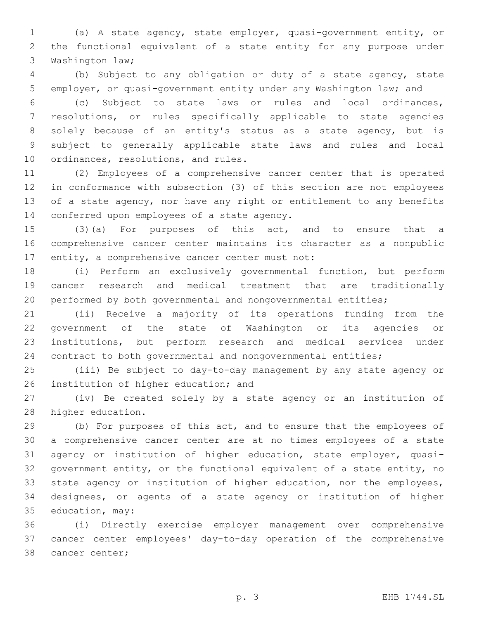(a) A state agency, state employer, quasi-government entity, or the functional equivalent of a state entity for any purpose under 3 Washington law;

 (b) Subject to any obligation or duty of a state agency, state employer, or quasi-government entity under any Washington law; and

 (c) Subject to state laws or rules and local ordinances, resolutions, or rules specifically applicable to state agencies solely because of an entity's status as a state agency, but is subject to generally applicable state laws and rules and local 10 ordinances, resolutions, and rules.

 (2) Employees of a comprehensive cancer center that is operated in conformance with subsection (3) of this section are not employees of a state agency, nor have any right or entitlement to any benefits 14 conferred upon employees of a state agency.

 (3)(a) For purposes of this act, and to ensure that a comprehensive cancer center maintains its character as a nonpublic 17 entity, a comprehensive cancer center must not:

 (i) Perform an exclusively governmental function, but perform cancer research and medical treatment that are traditionally performed by both governmental and nongovernmental entities;

 (ii) Receive a majority of its operations funding from the government of the state of Washington or its agencies or institutions, but perform research and medical services under contract to both governmental and nongovernmental entities;

 (iii) Be subject to day-to-day management by any state agency or 26 institution of higher education; and

 (iv) Be created solely by a state agency or an institution of 28 higher education.

 (b) For purposes of this act, and to ensure that the employees of a comprehensive cancer center are at no times employees of a state agency or institution of higher education, state employer, quasi- government entity, or the functional equivalent of a state entity, no state agency or institution of higher education, nor the employees, designees, or agents of a state agency or institution of higher 35 education, may:

 (i) Directly exercise employer management over comprehensive cancer center employees' day-to-day operation of the comprehensive 38 cancer center;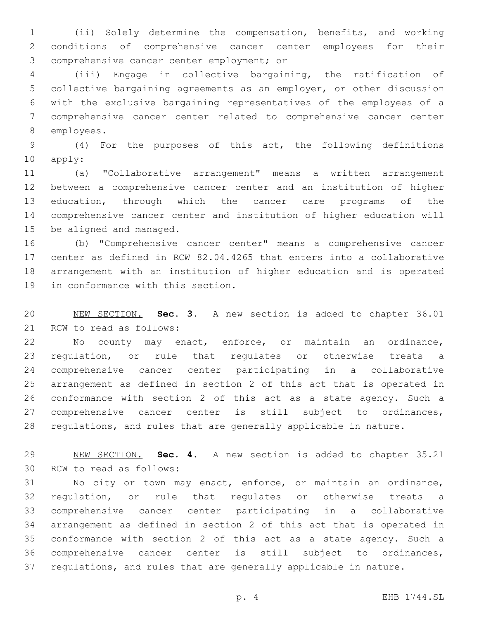(ii) Solely determine the compensation, benefits, and working conditions of comprehensive cancer center employees for their 3 comprehensive cancer center employment; or

 (iii) Engage in collective bargaining, the ratification of collective bargaining agreements as an employer, or other discussion with the exclusive bargaining representatives of the employees of a comprehensive cancer center related to comprehensive cancer center 8 employees.

 (4) For the purposes of this act, the following definitions 10 apply:

 (a) "Collaborative arrangement" means a written arrangement between a comprehensive cancer center and an institution of higher education, through which the cancer care programs of the comprehensive cancer center and institution of higher education will 15 be aligned and managed.

 (b) "Comprehensive cancer center" means a comprehensive cancer center as defined in RCW 82.04.4265 that enters into a collaborative arrangement with an institution of higher education and is operated 19 in conformance with this section.

 NEW SECTION. **Sec. 3.** A new section is added to chapter 36.01 21 RCW to read as follows:

 No county may enact, enforce, or maintain an ordinance, regulation, or rule that regulates or otherwise treats a comprehensive cancer center participating in a collaborative arrangement as defined in section 2 of this act that is operated in conformance with section 2 of this act as a state agency. Such a comprehensive cancer center is still subject to ordinances, regulations, and rules that are generally applicable in nature.

 NEW SECTION. **Sec. 4.** A new section is added to chapter 35.21 30 RCW to read as follows:

 No city or town may enact, enforce, or maintain an ordinance, regulation, or rule that regulates or otherwise treats a comprehensive cancer center participating in a collaborative arrangement as defined in section 2 of this act that is operated in conformance with section 2 of this act as a state agency. Such a comprehensive cancer center is still subject to ordinances, regulations, and rules that are generally applicable in nature.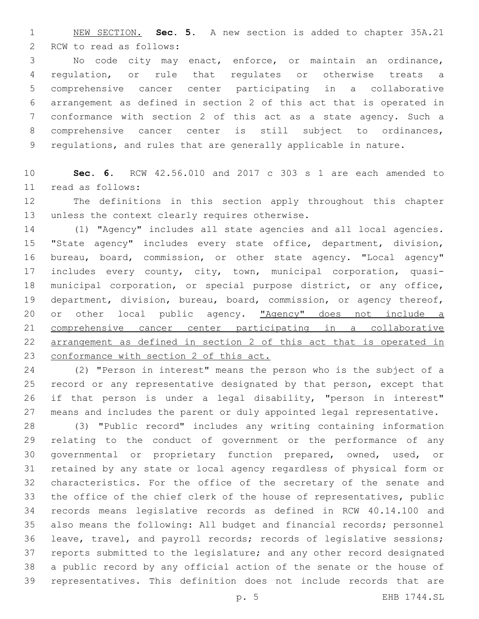NEW SECTION. **Sec. 5.** A new section is added to chapter 35A.21 2 RCW to read as follows:

 No code city may enact, enforce, or maintain an ordinance, regulation, or rule that regulates or otherwise treats a comprehensive cancer center participating in a collaborative arrangement as defined in section 2 of this act that is operated in conformance with section 2 of this act as a state agency. Such a comprehensive cancer center is still subject to ordinances, regulations, and rules that are generally applicable in nature.

 **Sec. 6.** RCW 42.56.010 and 2017 c 303 s 1 are each amended to read as follows:11

 The definitions in this section apply throughout this chapter 13 unless the context clearly requires otherwise.

 (1) "Agency" includes all state agencies and all local agencies. "State agency" includes every state office, department, division, bureau, board, commission, or other state agency. "Local agency" includes every county, city, town, municipal corporation, quasi- municipal corporation, or special purpose district, or any office, department, division, bureau, board, commission, or agency thereof, 20 or other local public agency. "Agency" does not include a comprehensive cancer center participating in a collaborative arrangement as defined in section 2 of this act that is operated in 23 conformance with section 2 of this act.

 (2) "Person in interest" means the person who is the subject of a record or any representative designated by that person, except that if that person is under a legal disability, "person in interest" means and includes the parent or duly appointed legal representative.

 (3) "Public record" includes any writing containing information relating to the conduct of government or the performance of any governmental or proprietary function prepared, owned, used, or retained by any state or local agency regardless of physical form or characteristics. For the office of the secretary of the senate and the office of the chief clerk of the house of representatives, public records means legislative records as defined in RCW 40.14.100 and also means the following: All budget and financial records; personnel leave, travel, and payroll records; records of legislative sessions; reports submitted to the legislature; and any other record designated a public record by any official action of the senate or the house of representatives. This definition does not include records that are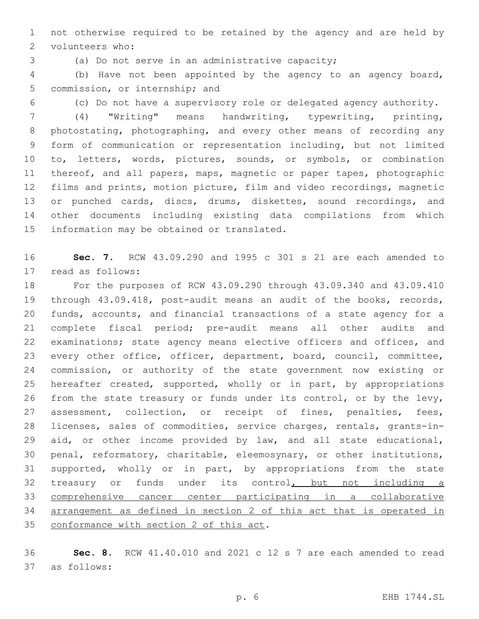not otherwise required to be retained by the agency and are held by 2 volunteers who:

(a) Do not serve in an administrative capacity;

 (b) Have not been appointed by the agency to an agency board, 5 commission, or internship; and

(c) Do not have a supervisory role or delegated agency authority.

 (4) "Writing" means handwriting, typewriting, printing, photostating, photographing, and every other means of recording any form of communication or representation including, but not limited to, letters, words, pictures, sounds, or symbols, or combination thereof, and all papers, maps, magnetic or paper tapes, photographic films and prints, motion picture, film and video recordings, magnetic 13 or punched cards, discs, drums, diskettes, sound recordings, and other documents including existing data compilations from which 15 information may be obtained or translated.

 **Sec. 7.** RCW 43.09.290 and 1995 c 301 s 21 are each amended to 17 read as follows:

 For the purposes of RCW 43.09.290 through 43.09.340 and 43.09.410 through 43.09.418, post-audit means an audit of the books, records, funds, accounts, and financial transactions of a state agency for a complete fiscal period; pre-audit means all other audits and examinations; state agency means elective officers and offices, and every other office, officer, department, board, council, committee, commission, or authority of the state government now existing or hereafter created, supported, wholly or in part, by appropriations 26 from the state treasury or funds under its control, or by the levy, 27 assessment, collection, or receipt of fines, penalties, fees, licenses, sales of commodities, service charges, rentals, grants-in- aid, or other income provided by law, and all state educational, penal, reformatory, charitable, eleemosynary, or other institutions, supported, wholly or in part, by appropriations from the state 32 treasury or funds under its control, but not including a comprehensive cancer center participating in a collaborative arrangement as defined in section 2 of this act that is operated in 35 conformance with section 2 of this act.

 **Sec. 8.** RCW 41.40.010 and 2021 c 12 s 7 are each amended to read as follows:37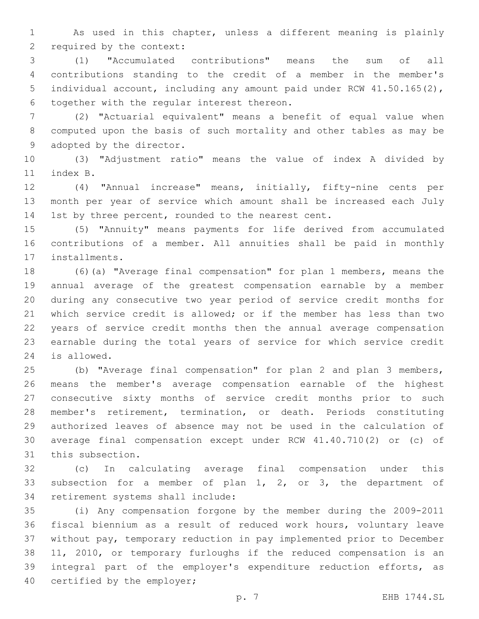As used in this chapter, unless a different meaning is plainly 2 required by the context:

 (1) "Accumulated contributions" means the sum of all contributions standing to the credit of a member in the member's individual account, including any amount paid under RCW 41.50.165(2), 6 together with the regular interest thereon.

 (2) "Actuarial equivalent" means a benefit of equal value when computed upon the basis of such mortality and other tables as may be 9 adopted by the director.

 (3) "Adjustment ratio" means the value of index A divided by 11 index B.

 (4) "Annual increase" means, initially, fifty-nine cents per month per year of service which amount shall be increased each July 14 1st by three percent, rounded to the nearest cent.

 (5) "Annuity" means payments for life derived from accumulated contributions of a member. All annuities shall be paid in monthly 17 installments.

 (6)(a) "Average final compensation" for plan 1 members, means the annual average of the greatest compensation earnable by a member during any consecutive two year period of service credit months for which service credit is allowed; or if the member has less than two years of service credit months then the annual average compensation earnable during the total years of service for which service credit 24 is allowed.

 (b) "Average final compensation" for plan 2 and plan 3 members, means the member's average compensation earnable of the highest consecutive sixty months of service credit months prior to such member's retirement, termination, or death. Periods constituting authorized leaves of absence may not be used in the calculation of average final compensation except under RCW 41.40.710(2) or (c) of 31 this subsection.

 (c) In calculating average final compensation under this subsection for a member of plan 1, 2, or 3, the department of 34 retirement systems shall include:

 (i) Any compensation forgone by the member during the 2009-2011 fiscal biennium as a result of reduced work hours, voluntary leave without pay, temporary reduction in pay implemented prior to December 11, 2010, or temporary furloughs if the reduced compensation is an integral part of the employer's expenditure reduction efforts, as 40 certified by the employer;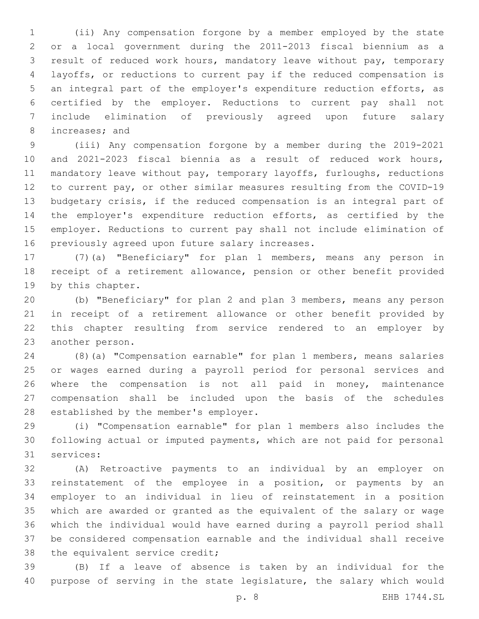(ii) Any compensation forgone by a member employed by the state or a local government during the 2011-2013 fiscal biennium as a result of reduced work hours, mandatory leave without pay, temporary layoffs, or reductions to current pay if the reduced compensation is an integral part of the employer's expenditure reduction efforts, as certified by the employer. Reductions to current pay shall not include elimination of previously agreed upon future salary 8 increases; and

 (iii) Any compensation forgone by a member during the 2019-2021 and 2021-2023 fiscal biennia as a result of reduced work hours, mandatory leave without pay, temporary layoffs, furloughs, reductions to current pay, or other similar measures resulting from the COVID-19 budgetary crisis, if the reduced compensation is an integral part of the employer's expenditure reduction efforts, as certified by the employer. Reductions to current pay shall not include elimination of 16 previously agreed upon future salary increases.

 (7)(a) "Beneficiary" for plan 1 members, means any person in receipt of a retirement allowance, pension or other benefit provided 19 by this chapter.

 (b) "Beneficiary" for plan 2 and plan 3 members, means any person in receipt of a retirement allowance or other benefit provided by this chapter resulting from service rendered to an employer by 23 another person.

 (8)(a) "Compensation earnable" for plan 1 members, means salaries or wages earned during a payroll period for personal services and where the compensation is not all paid in money, maintenance compensation shall be included upon the basis of the schedules 28 established by the member's employer.

 (i) "Compensation earnable" for plan 1 members also includes the following actual or imputed payments, which are not paid for personal 31 services:

 (A) Retroactive payments to an individual by an employer on reinstatement of the employee in a position, or payments by an employer to an individual in lieu of reinstatement in a position which are awarded or granted as the equivalent of the salary or wage which the individual would have earned during a payroll period shall be considered compensation earnable and the individual shall receive 38 the equivalent service credit;

 (B) If a leave of absence is taken by an individual for the purpose of serving in the state legislature, the salary which would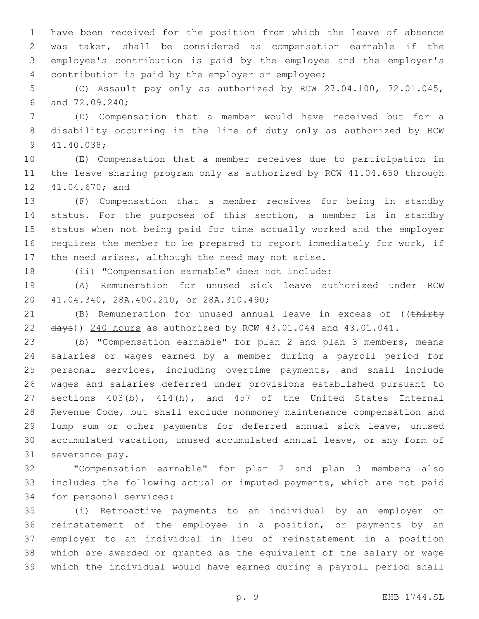have been received for the position from which the leave of absence was taken, shall be considered as compensation earnable if the employee's contribution is paid by the employee and the employer's contribution is paid by the employer or employee;4

 (C) Assault pay only as authorized by RCW 27.04.100, 72.01.045, 6 and 72.09.240;

 (D) Compensation that a member would have received but for a disability occurring in the line of duty only as authorized by RCW 41.40.038;9

 (E) Compensation that a member receives due to participation in the leave sharing program only as authorized by RCW 41.04.650 through 12 41.04.670; and

 (F) Compensation that a member receives for being in standby status. For the purposes of this section, a member is in standby status when not being paid for time actually worked and the employer requires the member to be prepared to report immediately for work, if 17 the need arises, although the need may not arise.

(ii) "Compensation earnable" does not include:

 (A) Remuneration for unused sick leave authorized under RCW 41.04.340, 28A.400.210, or 28A.310.490;20

21 (B) Remuneration for unused annual leave in excess of ((thirty 22  $\frac{1}{4}$   $\frac{1}{4}$   $\frac{1}{4}$   $\frac{1}{4}$   $\frac{1}{4}$   $\frac{1}{4}$   $\frac{1}{4}$   $\frac{1}{4}$   $\frac{1}{4}$   $\frac{1}{4}$   $\frac{1}{4}$   $\frac{1}{4}$   $\frac{1}{4}$   $\frac{1}{4}$   $\frac{1}{4}$   $\frac{1}{4}$   $\frac{1}{4}$   $\frac{1}{4}$   $\frac{1}{4}$   $\frac{1}{4}$   $\frac{1}{4}$   $\frac{1}{4}$ 

 (b) "Compensation earnable" for plan 2 and plan 3 members, means salaries or wages earned by a member during a payroll period for personal services, including overtime payments, and shall include wages and salaries deferred under provisions established pursuant to sections 403(b), 414(h), and 457 of the United States Internal Revenue Code, but shall exclude nonmoney maintenance compensation and lump sum or other payments for deferred annual sick leave, unused accumulated vacation, unused accumulated annual leave, or any form of 31 severance pay.

 "Compensation earnable" for plan 2 and plan 3 members also includes the following actual or imputed payments, which are not paid 34 for personal services:

 (i) Retroactive payments to an individual by an employer on reinstatement of the employee in a position, or payments by an employer to an individual in lieu of reinstatement in a position which are awarded or granted as the equivalent of the salary or wage which the individual would have earned during a payroll period shall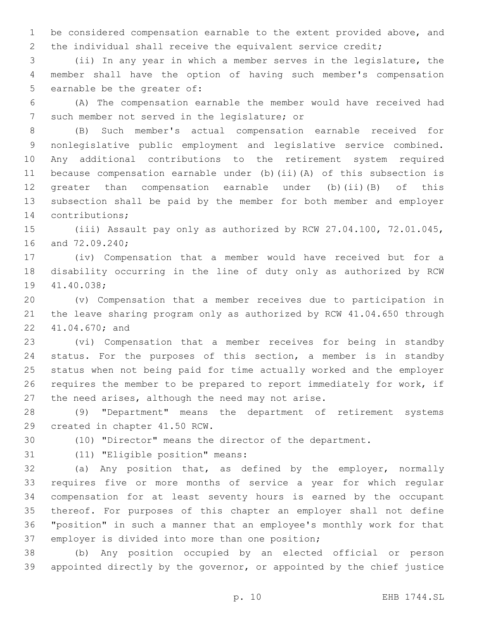be considered compensation earnable to the extent provided above, and 2 the individual shall receive the equivalent service credit;

 (ii) In any year in which a member serves in the legislature, the member shall have the option of having such member's compensation 5 earnable be the greater of:

 (A) The compensation earnable the member would have received had 7 such member not served in the legislature; or

 (B) Such member's actual compensation earnable received for nonlegislative public employment and legislative service combined. Any additional contributions to the retirement system required because compensation earnable under (b)(ii)(A) of this subsection is greater than compensation earnable under (b)(ii)(B) of this subsection shall be paid by the member for both member and employer 14 contributions;

 (iii) Assault pay only as authorized by RCW 27.04.100, 72.01.045, 16 and 72.09.240;

 (iv) Compensation that a member would have received but for a disability occurring in the line of duty only as authorized by RCW 19 41.40.038;

 (v) Compensation that a member receives due to participation in the leave sharing program only as authorized by RCW 41.04.650 through 22 41.04.670; and

 (vi) Compensation that a member receives for being in standby status. For the purposes of this section, a member is in standby status when not being paid for time actually worked and the employer requires the member to be prepared to report immediately for work, if 27 the need arises, although the need may not arise.

 (9) "Department" means the department of retirement systems 29 created in chapter 41.50 RCW.

(10) "Director" means the director of the department.

31 (11) "Eligible position" means:

 (a) Any position that, as defined by the employer, normally requires five or more months of service a year for which regular compensation for at least seventy hours is earned by the occupant thereof. For purposes of this chapter an employer shall not define "position" in such a manner that an employee's monthly work for that 37 employer is divided into more than one position;

 (b) Any position occupied by an elected official or person appointed directly by the governor, or appointed by the chief justice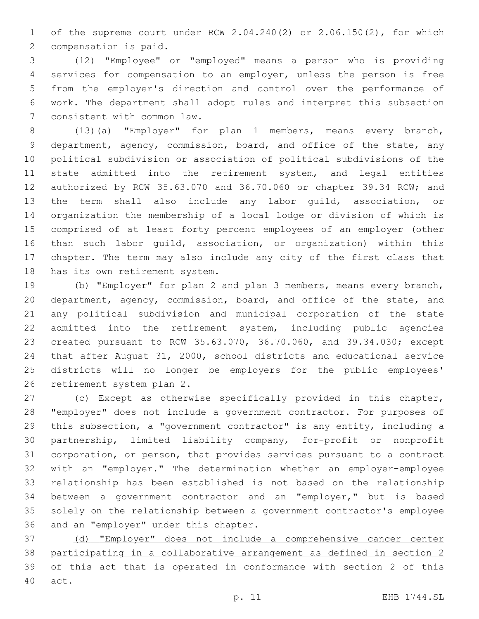of the supreme court under RCW 2.04.240(2) or 2.06.150(2), for which 2 compensation is paid.

 (12) "Employee" or "employed" means a person who is providing services for compensation to an employer, unless the person is free from the employer's direction and control over the performance of work. The department shall adopt rules and interpret this subsection 7 consistent with common law.

 (13)(a) "Employer" for plan 1 members, means every branch, 9 department, agency, commission, board, and office of the state, any political subdivision or association of political subdivisions of the state admitted into the retirement system, and legal entities authorized by RCW 35.63.070 and 36.70.060 or chapter 39.34 RCW; and the term shall also include any labor guild, association, or organization the membership of a local lodge or division of which is comprised of at least forty percent employees of an employer (other than such labor guild, association, or organization) within this chapter. The term may also include any city of the first class that 18 has its own retirement system.

 (b) "Employer" for plan 2 and plan 3 members, means every branch, department, agency, commission, board, and office of the state, and any political subdivision and municipal corporation of the state admitted into the retirement system, including public agencies created pursuant to RCW 35.63.070, 36.70.060, and 39.34.030; except that after August 31, 2000, school districts and educational service districts will no longer be employers for the public employees' 26 retirement system plan 2.

 (c) Except as otherwise specifically provided in this chapter, "employer" does not include a government contractor. For purposes of this subsection, a "government contractor" is any entity, including a partnership, limited liability company, for-profit or nonprofit corporation, or person, that provides services pursuant to a contract with an "employer." The determination whether an employer-employee relationship has been established is not based on the relationship between a government contractor and an "employer," but is based solely on the relationship between a government contractor's employee 36 and an "employer" under this chapter.

 (d) "Employer" does not include a comprehensive cancer center participating in a collaborative arrangement as defined in section 2 of this act that is operated in conformance with section 2 of this

act.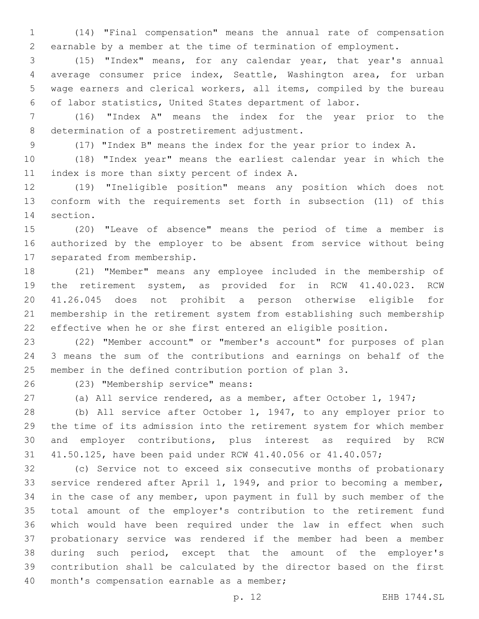(14) "Final compensation" means the annual rate of compensation earnable by a member at the time of termination of employment.

 (15) "Index" means, for any calendar year, that year's annual average consumer price index, Seattle, Washington area, for urban wage earners and clerical workers, all items, compiled by the bureau of labor statistics, United States department of labor.

 (16) "Index A" means the index for the year prior to the 8 determination of a postretirement adjustment.

(17) "Index B" means the index for the year prior to index A.

 (18) "Index year" means the earliest calendar year in which the 11 index is more than sixty percent of index A.

 (19) "Ineligible position" means any position which does not conform with the requirements set forth in subsection (11) of this 14 section.

 (20) "Leave of absence" means the period of time a member is authorized by the employer to be absent from service without being 17 separated from membership.

 (21) "Member" means any employee included in the membership of the retirement system, as provided for in RCW 41.40.023. RCW 41.26.045 does not prohibit a person otherwise eligible for membership in the retirement system from establishing such membership effective when he or she first entered an eligible position.

 (22) "Member account" or "member's account" for purposes of plan 3 means the sum of the contributions and earnings on behalf of the member in the defined contribution portion of plan 3.

(23) "Membership service" means:26

(a) All service rendered, as a member, after October 1, 1947;

 (b) All service after October 1, 1947, to any employer prior to the time of its admission into the retirement system for which member and employer contributions, plus interest as required by RCW 41.50.125, have been paid under RCW 41.40.056 or 41.40.057;

 (c) Service not to exceed six consecutive months of probationary service rendered after April 1, 1949, and prior to becoming a member, in the case of any member, upon payment in full by such member of the total amount of the employer's contribution to the retirement fund which would have been required under the law in effect when such probationary service was rendered if the member had been a member during such period, except that the amount of the employer's contribution shall be calculated by the director based on the first 40 month's compensation earnable as a member;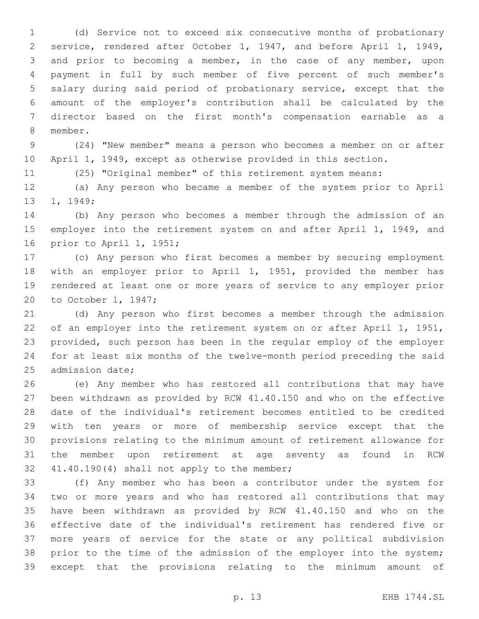(d) Service not to exceed six consecutive months of probationary service, rendered after October 1, 1947, and before April 1, 1949, and prior to becoming a member, in the case of any member, upon payment in full by such member of five percent of such member's salary during said period of probationary service, except that the amount of the employer's contribution shall be calculated by the director based on the first month's compensation earnable as a 8 member.

 (24) "New member" means a person who becomes a member on or after April 1, 1949, except as otherwise provided in this section.

(25) "Original member" of this retirement system means:

 (a) Any person who became a member of the system prior to April 13 1, 1949;

 (b) Any person who becomes a member through the admission of an 15 employer into the retirement system on and after April 1, 1949, and 16 prior to April 1, 1951;

 (c) Any person who first becomes a member by securing employment with an employer prior to April 1, 1951, provided the member has rendered at least one or more years of service to any employer prior 20 to October 1, 1947;

 (d) Any person who first becomes a member through the admission of an employer into the retirement system on or after April 1, 1951, provided, such person has been in the regular employ of the employer for at least six months of the twelve-month period preceding the said 25 admission date;

 (e) Any member who has restored all contributions that may have been withdrawn as provided by RCW 41.40.150 and who on the effective date of the individual's retirement becomes entitled to be credited with ten years or more of membership service except that the provisions relating to the minimum amount of retirement allowance for the member upon retirement at age seventy as found in RCW 32 41.40.190(4) shall not apply to the member;

 (f) Any member who has been a contributor under the system for two or more years and who has restored all contributions that may have been withdrawn as provided by RCW 41.40.150 and who on the effective date of the individual's retirement has rendered five or more years of service for the state or any political subdivision prior to the time of the admission of the employer into the system; except that the provisions relating to the minimum amount of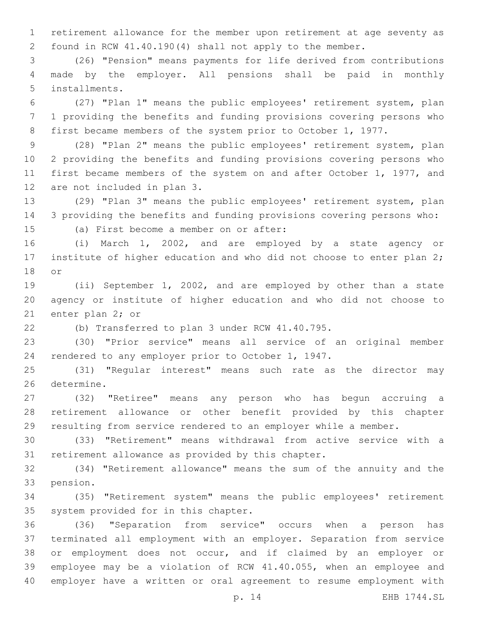retirement allowance for the member upon retirement at age seventy as found in RCW 41.40.190(4) shall not apply to the member.

 (26) "Pension" means payments for life derived from contributions made by the employer. All pensions shall be paid in monthly installments.5

 (27) "Plan 1" means the public employees' retirement system, plan 1 providing the benefits and funding provisions covering persons who first became members of the system prior to October 1, 1977.

 (28) "Plan 2" means the public employees' retirement system, plan 2 providing the benefits and funding provisions covering persons who first became members of the system on and after October 1, 1977, and 12 are not included in plan 3.

 (29) "Plan 3" means the public employees' retirement system, plan 3 providing the benefits and funding provisions covering persons who:

15 (a) First become a member on or after:

 (i) March 1, 2002, and are employed by a state agency or 17 institute of higher education and who did not choose to enter plan 2; 18 or

 (ii) September 1, 2002, and are employed by other than a state agency or institute of higher education and who did not choose to 21 enter plan 2; or

(b) Transferred to plan 3 under RCW 41.40.795.

 (30) "Prior service" means all service of an original member rendered to any employer prior to October 1, 1947.

 (31) "Regular interest" means such rate as the director may 26 determine.

 (32) "Retiree" means any person who has begun accruing a retirement allowance or other benefit provided by this chapter resulting from service rendered to an employer while a member.

 (33) "Retirement" means withdrawal from active service with a 31 retirement allowance as provided by this chapter.

 (34) "Retirement allowance" means the sum of the annuity and the 33 pension.

 (35) "Retirement system" means the public employees' retirement 35 system provided for in this chapter.

 (36) "Separation from service" occurs when a person has terminated all employment with an employer. Separation from service or employment does not occur, and if claimed by an employer or employee may be a violation of RCW 41.40.055, when an employee and employer have a written or oral agreement to resume employment with

p. 14 EHB 1744.SL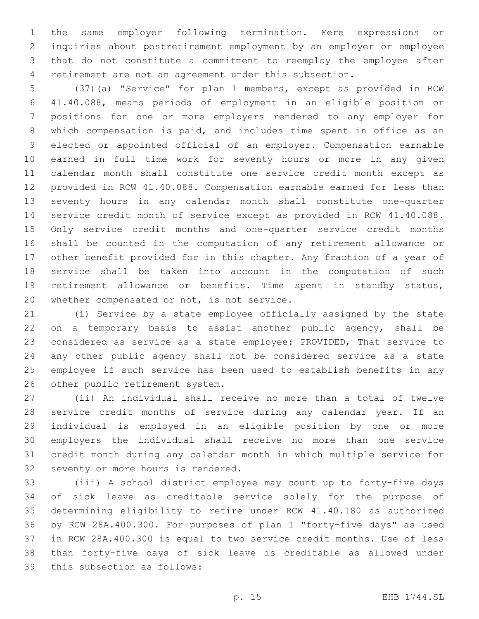the same employer following termination. Mere expressions or inquiries about postretirement employment by an employer or employee that do not constitute a commitment to reemploy the employee after retirement are not an agreement under this subsection.

 (37)(a) "Service" for plan 1 members, except as provided in RCW 41.40.088, means periods of employment in an eligible position or positions for one or more employers rendered to any employer for which compensation is paid, and includes time spent in office as an elected or appointed official of an employer. Compensation earnable earned in full time work for seventy hours or more in any given calendar month shall constitute one service credit month except as provided in RCW 41.40.088. Compensation earnable earned for less than seventy hours in any calendar month shall constitute one-quarter service credit month of service except as provided in RCW 41.40.088. Only service credit months and one-quarter service credit months shall be counted in the computation of any retirement allowance or other benefit provided for in this chapter. Any fraction of a year of service shall be taken into account in the computation of such retirement allowance or benefits. Time spent in standby status, 20 whether compensated or not, is not service.

 (i) Service by a state employee officially assigned by the state on a temporary basis to assist another public agency, shall be considered as service as a state employee: PROVIDED, That service to any other public agency shall not be considered service as a state employee if such service has been used to establish benefits in any 26 other public retirement system.

 (ii) An individual shall receive no more than a total of twelve service credit months of service during any calendar year. If an individual is employed in an eligible position by one or more employers the individual shall receive no more than one service credit month during any calendar month in which multiple service for 32 seventy or more hours is rendered.

 (iii) A school district employee may count up to forty-five days of sick leave as creditable service solely for the purpose of determining eligibility to retire under RCW 41.40.180 as authorized by RCW 28A.400.300. For purposes of plan 1 "forty-five days" as used in RCW 28A.400.300 is equal to two service credit months. Use of less than forty-five days of sick leave is creditable as allowed under 39 this subsection as follows: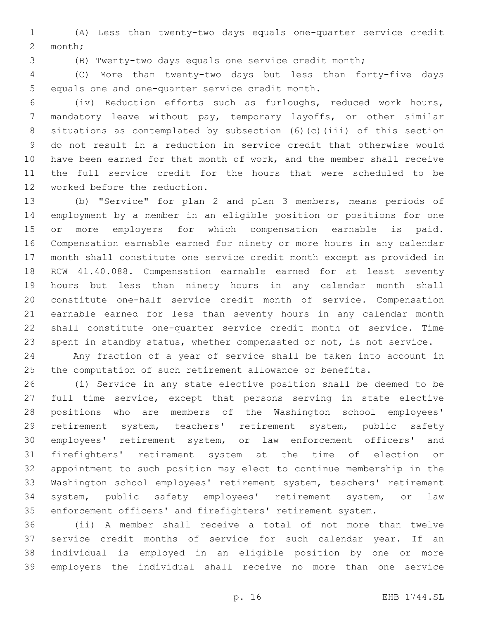(A) Less than twenty-two days equals one-quarter service credit 2 month;

(B) Twenty-two days equals one service credit month;

 (C) More than twenty-two days but less than forty-five days 5 equals one and one-quarter service credit month.

 (iv) Reduction efforts such as furloughs, reduced work hours, mandatory leave without pay, temporary layoffs, or other similar situations as contemplated by subsection (6)(c)(iii) of this section do not result in a reduction in service credit that otherwise would have been earned for that month of work, and the member shall receive the full service credit for the hours that were scheduled to be 12 worked before the reduction.

 (b) "Service" for plan 2 and plan 3 members, means periods of employment by a member in an eligible position or positions for one or more employers for which compensation earnable is paid. Compensation earnable earned for ninety or more hours in any calendar month shall constitute one service credit month except as provided in RCW 41.40.088. Compensation earnable earned for at least seventy hours but less than ninety hours in any calendar month shall constitute one-half service credit month of service. Compensation earnable earned for less than seventy hours in any calendar month shall constitute one-quarter service credit month of service. Time spent in standby status, whether compensated or not, is not service.

 Any fraction of a year of service shall be taken into account in the computation of such retirement allowance or benefits.

 (i) Service in any state elective position shall be deemed to be full time service, except that persons serving in state elective positions who are members of the Washington school employees' retirement system, teachers' retirement system, public safety employees' retirement system, or law enforcement officers' and firefighters' retirement system at the time of election or appointment to such position may elect to continue membership in the Washington school employees' retirement system, teachers' retirement system, public safety employees' retirement system, or law enforcement officers' and firefighters' retirement system.

 (ii) A member shall receive a total of not more than twelve service credit months of service for such calendar year. If an individual is employed in an eligible position by one or more employers the individual shall receive no more than one service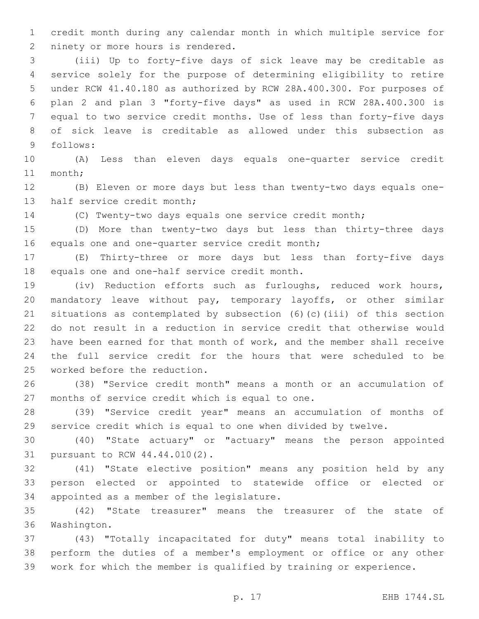credit month during any calendar month in which multiple service for 2 ninety or more hours is rendered.

 (iii) Up to forty-five days of sick leave may be creditable as service solely for the purpose of determining eligibility to retire under RCW 41.40.180 as authorized by RCW 28A.400.300. For purposes of plan 2 and plan 3 "forty-five days" as used in RCW 28A.400.300 is equal to two service credit months. Use of less than forty-five days of sick leave is creditable as allowed under this subsection as 9 follows:

 (A) Less than eleven days equals one-quarter service credit 11 month;

 (B) Eleven or more days but less than twenty-two days equals one-13 half service credit month;

(C) Twenty-two days equals one service credit month;

 (D) More than twenty-two days but less than thirty-three days 16 equals one and one-quarter service credit month;

 (E) Thirty-three or more days but less than forty-five days 18 equals one and one-half service credit month.

 (iv) Reduction efforts such as furloughs, reduced work hours, mandatory leave without pay, temporary layoffs, or other similar situations as contemplated by subsection (6)(c)(iii) of this section do not result in a reduction in service credit that otherwise would have been earned for that month of work, and the member shall receive the full service credit for the hours that were scheduled to be 25 worked before the reduction.

 (38) "Service credit month" means a month or an accumulation of 27 months of service credit which is equal to one.

 (39) "Service credit year" means an accumulation of months of service credit which is equal to one when divided by twelve.

 (40) "State actuary" or "actuary" means the person appointed 31 pursuant to RCW 44.44.010(2).

 (41) "State elective position" means any position held by any person elected or appointed to statewide office or elected or 34 appointed as a member of the legislature.

 (42) "State treasurer" means the treasurer of the state of 36 Washington.

 (43) "Totally incapacitated for duty" means total inability to perform the duties of a member's employment or office or any other work for which the member is qualified by training or experience.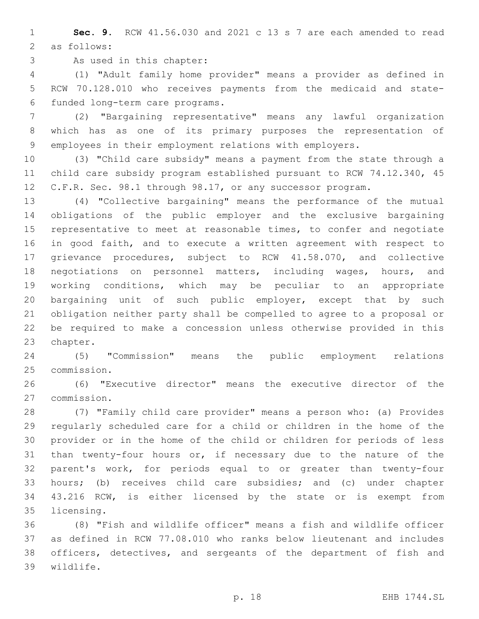**Sec. 9.** RCW 41.56.030 and 2021 c 13 s 7 are each amended to read 2 as follows:

3 As used in this chapter:

 (1) "Adult family home provider" means a provider as defined in RCW 70.128.010 who receives payments from the medicaid and statefunded long-term care programs.6

 (2) "Bargaining representative" means any lawful organization which has as one of its primary purposes the representation of employees in their employment relations with employers.

 (3) "Child care subsidy" means a payment from the state through a child care subsidy program established pursuant to RCW 74.12.340, 45 12 C.F.R. Sec. 98.1 through 98.17, or any successor program.

 (4) "Collective bargaining" means the performance of the mutual obligations of the public employer and the exclusive bargaining representative to meet at reasonable times, to confer and negotiate in good faith, and to execute a written agreement with respect to grievance procedures, subject to RCW 41.58.070, and collective negotiations on personnel matters, including wages, hours, and working conditions, which may be peculiar to an appropriate bargaining unit of such public employer, except that by such obligation neither party shall be compelled to agree to a proposal or be required to make a concession unless otherwise provided in this 23 chapter.

 (5) "Commission" means the public employment relations 25 commission.

 (6) "Executive director" means the executive director of the commission.27

 (7) "Family child care provider" means a person who: (a) Provides regularly scheduled care for a child or children in the home of the provider or in the home of the child or children for periods of less than twenty-four hours or, if necessary due to the nature of the parent's work, for periods equal to or greater than twenty-four hours; (b) receives child care subsidies; and (c) under chapter 43.216 RCW, is either licensed by the state or is exempt from 35 licensing.

 (8) "Fish and wildlife officer" means a fish and wildlife officer as defined in RCW 77.08.010 who ranks below lieutenant and includes officers, detectives, and sergeants of the department of fish and wildlife.39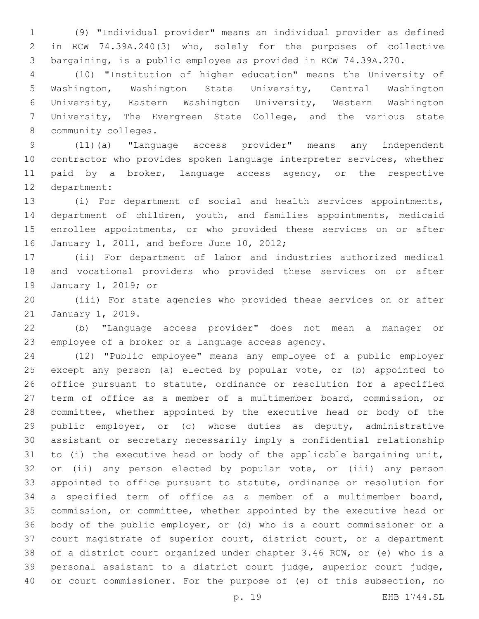(9) "Individual provider" means an individual provider as defined in RCW 74.39A.240(3) who, solely for the purposes of collective bargaining, is a public employee as provided in RCW 74.39A.270.

 (10) "Institution of higher education" means the University of Washington, Washington State University, Central Washington University, Eastern Washington University, Western Washington University, The Evergreen State College, and the various state 8 community colleges.

 (11)(a) "Language access provider" means any independent contractor who provides spoken language interpreter services, whether 11 paid by a broker, language access agency, or the respective 12 department:

 (i) For department of social and health services appointments, department of children, youth, and families appointments, medicaid enrollee appointments, or who provided these services on or after 16 January 1, 2011, and before June 10, 2012;

 (ii) For department of labor and industries authorized medical and vocational providers who provided these services on or after 19 January 1, 2019; or

 (iii) For state agencies who provided these services on or after 21 January 1, 2019.

 (b) "Language access provider" does not mean a manager or 23 employee of a broker or a language access agency.

 (12) "Public employee" means any employee of a public employer except any person (a) elected by popular vote, or (b) appointed to office pursuant to statute, ordinance or resolution for a specified term of office as a member of a multimember board, commission, or committee, whether appointed by the executive head or body of the public employer, or (c) whose duties as deputy, administrative assistant or secretary necessarily imply a confidential relationship to (i) the executive head or body of the applicable bargaining unit, or (ii) any person elected by popular vote, or (iii) any person appointed to office pursuant to statute, ordinance or resolution for a specified term of office as a member of a multimember board, commission, or committee, whether appointed by the executive head or body of the public employer, or (d) who is a court commissioner or a court magistrate of superior court, district court, or a department of a district court organized under chapter 3.46 RCW, or (e) who is a personal assistant to a district court judge, superior court judge, or court commissioner. For the purpose of (e) of this subsection, no

p. 19 EHB 1744.SL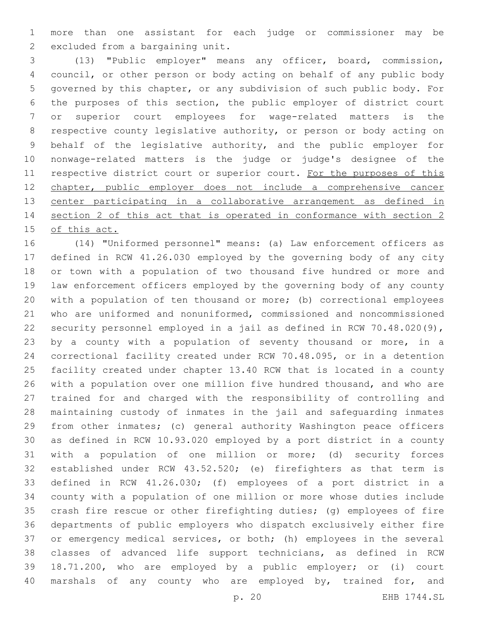more than one assistant for each judge or commissioner may be 2 excluded from a bargaining unit.

 (13) "Public employer" means any officer, board, commission, council, or other person or body acting on behalf of any public body governed by this chapter, or any subdivision of such public body. For the purposes of this section, the public employer of district court or superior court employees for wage-related matters is the respective county legislative authority, or person or body acting on behalf of the legislative authority, and the public employer for nonwage-related matters is the judge or judge's designee of the 11 respective district court or superior court. For the purposes of this chapter, public employer does not include a comprehensive cancer 13 center participating in a collaborative arrangement as defined in section 2 of this act that is operated in conformance with section 2 of this act.

 (14) "Uniformed personnel" means: (a) Law enforcement officers as defined in RCW 41.26.030 employed by the governing body of any city or town with a population of two thousand five hundred or more and law enforcement officers employed by the governing body of any county with a population of ten thousand or more; (b) correctional employees who are uniformed and nonuniformed, commissioned and noncommissioned security personnel employed in a jail as defined in RCW 70.48.020(9), by a county with a population of seventy thousand or more, in a correctional facility created under RCW 70.48.095, or in a detention facility created under chapter 13.40 RCW that is located in a county with a population over one million five hundred thousand, and who are trained for and charged with the responsibility of controlling and maintaining custody of inmates in the jail and safeguarding inmates from other inmates; (c) general authority Washington peace officers as defined in RCW 10.93.020 employed by a port district in a county with a population of one million or more; (d) security forces established under RCW 43.52.520; (e) firefighters as that term is defined in RCW 41.26.030; (f) employees of a port district in a county with a population of one million or more whose duties include crash fire rescue or other firefighting duties; (g) employees of fire departments of public employers who dispatch exclusively either fire or emergency medical services, or both; (h) employees in the several classes of advanced life support technicians, as defined in RCW 18.71.200, who are employed by a public employer; or (i) court 40 marshals of any county who are employed by, trained for, and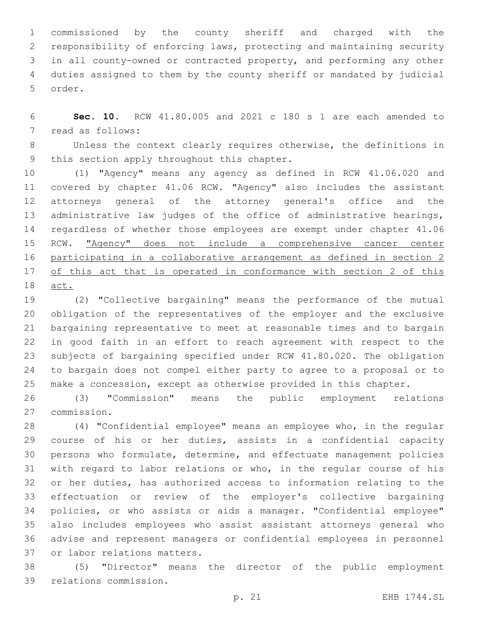commissioned by the county sheriff and charged with the responsibility of enforcing laws, protecting and maintaining security in all county-owned or contracted property, and performing any other duties assigned to them by the county sheriff or mandated by judicial 5 order.

 **Sec. 10.** RCW 41.80.005 and 2021 c 180 s 1 are each amended to 7 read as follows:

 Unless the context clearly requires otherwise, the definitions in 9 this section apply throughout this chapter.

 (1) "Agency" means any agency as defined in RCW 41.06.020 and covered by chapter 41.06 RCW. "Agency" also includes the assistant attorneys general of the attorney general's office and the 13 administrative law judges of the office of administrative hearings, regardless of whether those employees are exempt under chapter 41.06 15 RCW. "Agency" does not include a comprehensive cancer center participating in a collaborative arrangement as defined in section 2 of this act that is operated in conformance with section 2 of this act.

 (2) "Collective bargaining" means the performance of the mutual obligation of the representatives of the employer and the exclusive bargaining representative to meet at reasonable times and to bargain in good faith in an effort to reach agreement with respect to the subjects of bargaining specified under RCW 41.80.020. The obligation to bargain does not compel either party to agree to a proposal or to make a concession, except as otherwise provided in this chapter.

 (3) "Commission" means the public employment relations commission.27

 (4) "Confidential employee" means an employee who, in the regular course of his or her duties, assists in a confidential capacity persons who formulate, determine, and effectuate management policies with regard to labor relations or who, in the regular course of his or her duties, has authorized access to information relating to the effectuation or review of the employer's collective bargaining policies, or who assists or aids a manager. "Confidential employee" also includes employees who assist assistant attorneys general who advise and represent managers or confidential employees in personnel 37 or labor relations matters.

 (5) "Director" means the director of the public employment 39 relations commission.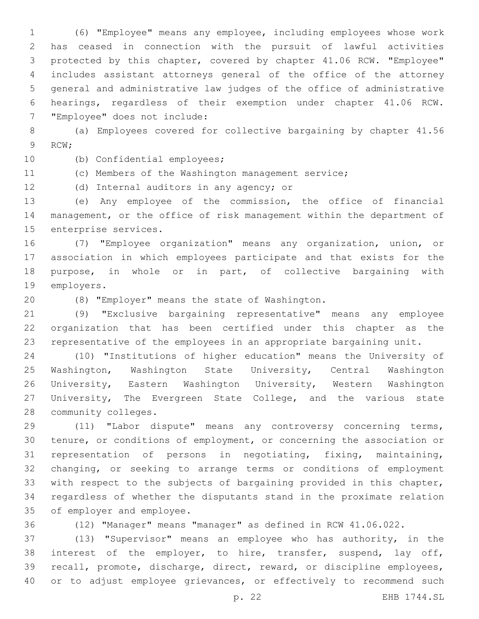(6) "Employee" means any employee, including employees whose work has ceased in connection with the pursuit of lawful activities protected by this chapter, covered by chapter 41.06 RCW. "Employee" includes assistant attorneys general of the office of the attorney general and administrative law judges of the office of administrative hearings, regardless of their exemption under chapter 41.06 RCW. 7 "Employee" does not include:

 (a) Employees covered for collective bargaining by chapter 41.56 9 RCW;

10 (b) Confidential employees;

(c) Members of the Washington management service;

12 (d) Internal auditors in any agency; or

 (e) Any employee of the commission, the office of financial management, or the office of risk management within the department of 15 enterprise services.

 (7) "Employee organization" means any organization, union, or association in which employees participate and that exists for the purpose, in whole or in part, of collective bargaining with 19 employers.

(8) "Employer" means the state of Washington.20

 (9) "Exclusive bargaining representative" means any employee organization that has been certified under this chapter as the representative of the employees in an appropriate bargaining unit.

 (10) "Institutions of higher education" means the University of Washington, Washington State University, Central Washington University, Eastern Washington University, Western Washington University, The Evergreen State College, and the various state 28 community colleges.

 (11) "Labor dispute" means any controversy concerning terms, tenure, or conditions of employment, or concerning the association or representation of persons in negotiating, fixing, maintaining, changing, or seeking to arrange terms or conditions of employment with respect to the subjects of bargaining provided in this chapter, regardless of whether the disputants stand in the proximate relation 35 of employer and employee.

(12) "Manager" means "manager" as defined in RCW 41.06.022.

 (13) "Supervisor" means an employee who has authority, in the interest of the employer, to hire, transfer, suspend, lay off, recall, promote, discharge, direct, reward, or discipline employees, 40 or to adjust employee grievances, or effectively to recommend such

p. 22 EHB 1744.SL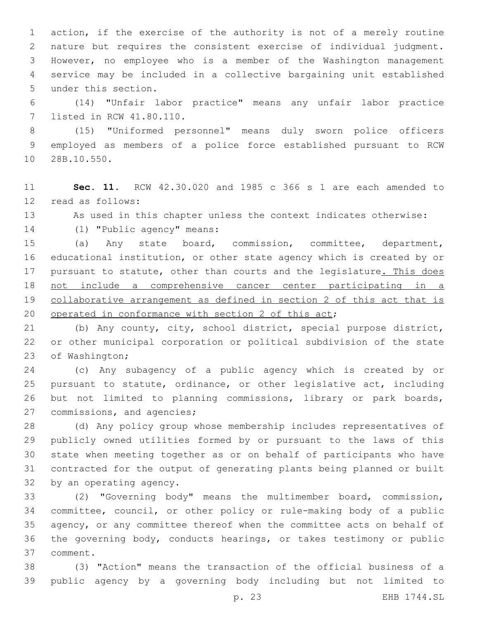action, if the exercise of the authority is not of a merely routine nature but requires the consistent exercise of individual judgment. However, no employee who is a member of the Washington management service may be included in a collective bargaining unit established 5 under this section.

 (14) "Unfair labor practice" means any unfair labor practice 7 listed in RCW 41.80.110.

 (15) "Uniformed personnel" means duly sworn police officers employed as members of a police force established pursuant to RCW 10 28B.10.550.

 **Sec. 11.** RCW 42.30.020 and 1985 c 366 s 1 are each amended to 12 read as follows:

As used in this chapter unless the context indicates otherwise:

14 (1) "Public agency" means:

 (a) Any state board, commission, committee, department, educational institution, or other state agency which is created by or 17 pursuant to statute, other than courts and the legislature. This does not include a comprehensive cancer center participating in a collaborative arrangement as defined in section 2 of this act that is 20 operated in conformance with section 2 of this act;

 (b) Any county, city, school district, special purpose district, or other municipal corporation or political subdivision of the state 23 of Washington;

 (c) Any subagency of a public agency which is created by or pursuant to statute, ordinance, or other legislative act, including but not limited to planning commissions, library or park boards, 27 commissions, and agencies;

 (d) Any policy group whose membership includes representatives of publicly owned utilities formed by or pursuant to the laws of this state when meeting together as or on behalf of participants who have contracted for the output of generating plants being planned or built 32 by an operating agency.

 (2) "Governing body" means the multimember board, commission, committee, council, or other policy or rule-making body of a public agency, or any committee thereof when the committee acts on behalf of the governing body, conducts hearings, or takes testimony or public comment.37

 (3) "Action" means the transaction of the official business of a public agency by a governing body including but not limited to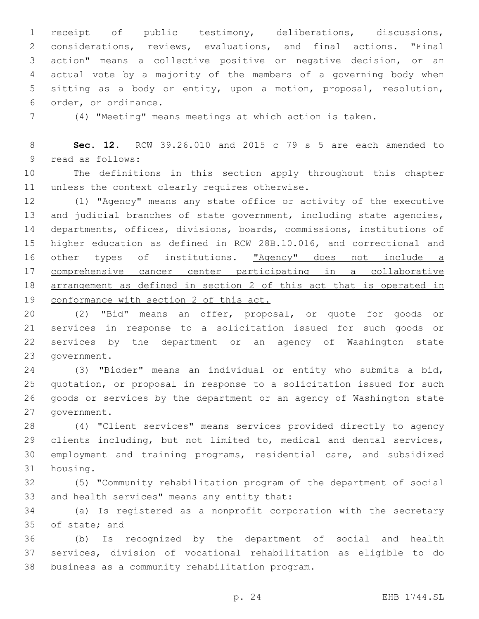receipt of public testimony, deliberations, discussions, considerations, reviews, evaluations, and final actions. "Final action" means a collective positive or negative decision, or an actual vote by a majority of the members of a governing body when sitting as a body or entity, upon a motion, proposal, resolution, 6 order, or ordinance.

(4) "Meeting" means meetings at which action is taken.

 **Sec. 12.** RCW 39.26.010 and 2015 c 79 s 5 are each amended to 9 read as follows:

 The definitions in this section apply throughout this chapter 11 unless the context clearly requires otherwise.

 (1) "Agency" means any state office or activity of the executive 13 and judicial branches of state government, including state agencies, departments, offices, divisions, boards, commissions, institutions of higher education as defined in RCW 28B.10.016, and correctional and 16 other types of institutions. "Agency" does not include a comprehensive cancer center participating in a collaborative arrangement as defined in section 2 of this act that is operated in conformance with section 2 of this act.

 (2) "Bid" means an offer, proposal, or quote for goods or services in response to a solicitation issued for such goods or services by the department or an agency of Washington state 23 government.

 (3) "Bidder" means an individual or entity who submits a bid, quotation, or proposal in response to a solicitation issued for such goods or services by the department or an agency of Washington state 27 government.

 (4) "Client services" means services provided directly to agency clients including, but not limited to, medical and dental services, employment and training programs, residential care, and subsidized 31 housing.

 (5) "Community rehabilitation program of the department of social 33 and health services" means any entity that:

 (a) Is registered as a nonprofit corporation with the secretary 35 of state; and

 (b) Is recognized by the department of social and health services, division of vocational rehabilitation as eligible to do 38 business as a community rehabilitation program.

p. 24 EHB 1744.SL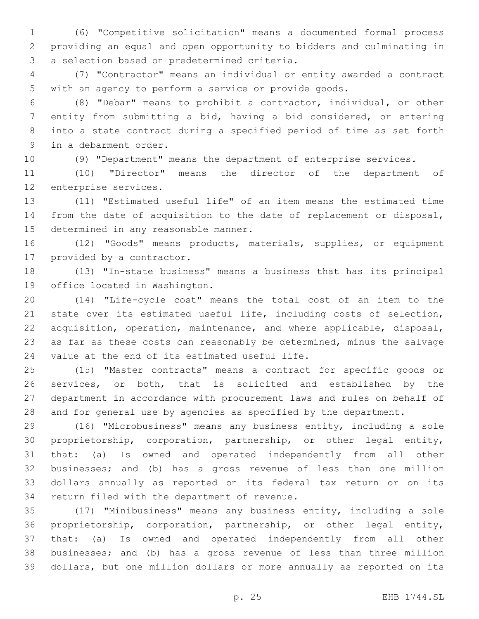(6) "Competitive solicitation" means a documented formal process providing an equal and open opportunity to bidders and culminating in 3 a selection based on predetermined criteria.

 (7) "Contractor" means an individual or entity awarded a contract with an agency to perform a service or provide goods.

 (8) "Debar" means to prohibit a contractor, individual, or other entity from submitting a bid, having a bid considered, or entering into a state contract during a specified period of time as set forth 9 in a debarment order.

(9) "Department" means the department of enterprise services.

 (10) "Director" means the director of the department of 12 enterprise services.

 (11) "Estimated useful life" of an item means the estimated time from the date of acquisition to the date of replacement or disposal, 15 determined in any reasonable manner.

 (12) "Goods" means products, materials, supplies, or equipment 17 provided by a contractor.

 (13) "In-state business" means a business that has its principal 19 office located in Washington.

 (14) "Life-cycle cost" means the total cost of an item to the state over its estimated useful life, including costs of selection, acquisition, operation, maintenance, and where applicable, disposal, as far as these costs can reasonably be determined, minus the salvage 24 value at the end of its estimated useful life.

 (15) "Master contracts" means a contract for specific goods or services, or both, that is solicited and established by the department in accordance with procurement laws and rules on behalf of and for general use by agencies as specified by the department.

 (16) "Microbusiness" means any business entity, including a sole proprietorship, corporation, partnership, or other legal entity, that: (a) Is owned and operated independently from all other businesses; and (b) has a gross revenue of less than one million dollars annually as reported on its federal tax return or on its 34 return filed with the department of revenue.

 (17) "Minibusiness" means any business entity, including a sole proprietorship, corporation, partnership, or other legal entity, that: (a) Is owned and operated independently from all other businesses; and (b) has a gross revenue of less than three million dollars, but one million dollars or more annually as reported on its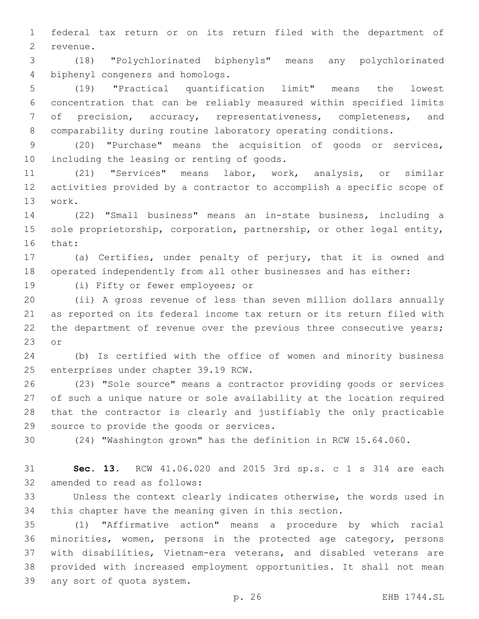federal tax return or on its return filed with the department of 2 revenue.

 (18) "Polychlorinated biphenyls" means any polychlorinated 4 biphenyl congeners and homologs.

 (19) "Practical quantification limit" means the lowest concentration that can be reliably measured within specified limits of precision, accuracy, representativeness, completeness, and comparability during routine laboratory operating conditions.

 (20) "Purchase" means the acquisition of goods or services, 10 including the leasing or renting of goods.

 (21) "Services" means labor, work, analysis, or similar activities provided by a contractor to accomplish a specific scope of 13 work.

 (22) "Small business" means an in-state business, including a 15 sole proprietorship, corporation, partnership, or other legal entity, 16 that:

 (a) Certifies, under penalty of perjury, that it is owned and operated independently from all other businesses and has either:

19 (i) Fifty or fewer employees; or

 (ii) A gross revenue of less than seven million dollars annually as reported on its federal income tax return or its return filed with 22 the department of revenue over the previous three consecutive years; 23 or

 (b) Is certified with the office of women and minority business 25 enterprises under chapter 39.19 RCW.

 (23) "Sole source" means a contractor providing goods or services of such a unique nature or sole availability at the location required that the contractor is clearly and justifiably the only practicable 29 source to provide the goods or services.

(24) "Washington grown" has the definition in RCW 15.64.060.

 **Sec. 13.** RCW 41.06.020 and 2015 3rd sp.s. c 1 s 314 are each 32 amended to read as follows:

 Unless the context clearly indicates otherwise, the words used in this chapter have the meaning given in this section.

 (1) "Affirmative action" means a procedure by which racial minorities, women, persons in the protected age category, persons with disabilities, Vietnam-era veterans, and disabled veterans are provided with increased employment opportunities. It shall not mean 39 any sort of quota system.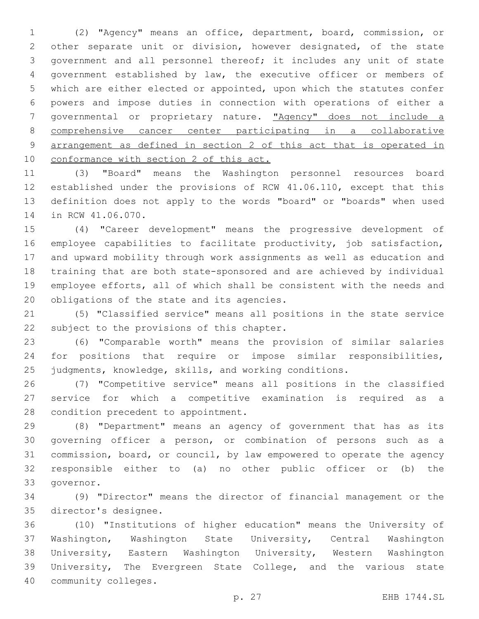(2) "Agency" means an office, department, board, commission, or other separate unit or division, however designated, of the state government and all personnel thereof; it includes any unit of state government established by law, the executive officer or members of which are either elected or appointed, upon which the statutes confer powers and impose duties in connection with operations of either a governmental or proprietary nature. "Agency" does not include a comprehensive cancer center participating in a collaborative arrangement as defined in section 2 of this act that is operated in 10 conformance with section 2 of this act.

 (3) "Board" means the Washington personnel resources board established under the provisions of RCW 41.06.110, except that this definition does not apply to the words "board" or "boards" when used 14 in RCW 41.06.070.

 (4) "Career development" means the progressive development of employee capabilities to facilitate productivity, job satisfaction, and upward mobility through work assignments as well as education and training that are both state-sponsored and are achieved by individual employee efforts, all of which shall be consistent with the needs and 20 obligations of the state and its agencies.

 (5) "Classified service" means all positions in the state service 22 subject to the provisions of this chapter.

 (6) "Comparable worth" means the provision of similar salaries for positions that require or impose similar responsibilities, judgments, knowledge, skills, and working conditions.

 (7) "Competitive service" means all positions in the classified service for which a competitive examination is required as a 28 condition precedent to appointment.

 (8) "Department" means an agency of government that has as its governing officer a person, or combination of persons such as a commission, board, or council, by law empowered to operate the agency responsible either to (a) no other public officer or (b) the 33 qovernor.

 (9) "Director" means the director of financial management or the 35 director's designee.

 (10) "Institutions of higher education" means the University of Washington, Washington State University, Central Washington University, Eastern Washington University, Western Washington University, The Evergreen State College, and the various state 40 community colleges.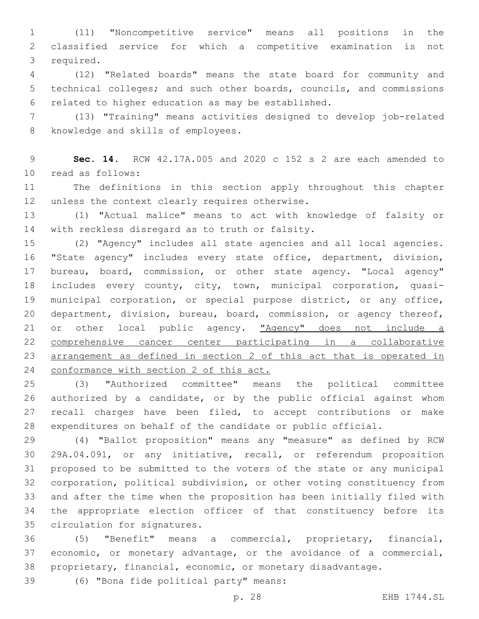(11) "Noncompetitive service" means all positions in the classified service for which a competitive examination is not 3 required.

 (12) "Related boards" means the state board for community and technical colleges; and such other boards, councils, and commissions 6 related to higher education as may be established.

 (13) "Training" means activities designed to develop job-related 8 knowledge and skills of employees.

 **Sec. 14.** RCW 42.17A.005 and 2020 c 152 s 2 are each amended to read as follows:10

 The definitions in this section apply throughout this chapter 12 unless the context clearly requires otherwise.

 (1) "Actual malice" means to act with knowledge of falsity or 14 with reckless disregard as to truth or falsity.

 (2) "Agency" includes all state agencies and all local agencies. "State agency" includes every state office, department, division, 17 bureau, board, commission, or other state agency. "Local agency" includes every county, city, town, municipal corporation, quasi- municipal corporation, or special purpose district, or any office, department, division, bureau, board, commission, or agency thereof, 21 or other local public agency. "Agency" does not include a comprehensive cancer center participating in a collaborative arrangement as defined in section 2 of this act that is operated in 24 conformance with section 2 of this act.

 (3) "Authorized committee" means the political committee authorized by a candidate, or by the public official against whom 27 recall charges have been filed, to accept contributions or make expenditures on behalf of the candidate or public official.

 (4) "Ballot proposition" means any "measure" as defined by RCW 29A.04.091, or any initiative, recall, or referendum proposition proposed to be submitted to the voters of the state or any municipal corporation, political subdivision, or other voting constituency from and after the time when the proposition has been initially filed with the appropriate election officer of that constituency before its 35 circulation for signatures.

 (5) "Benefit" means a commercial, proprietary, financial, economic, or monetary advantage, or the avoidance of a commercial, proprietary, financial, economic, or monetary disadvantage.

(6) "Bona fide political party" means:39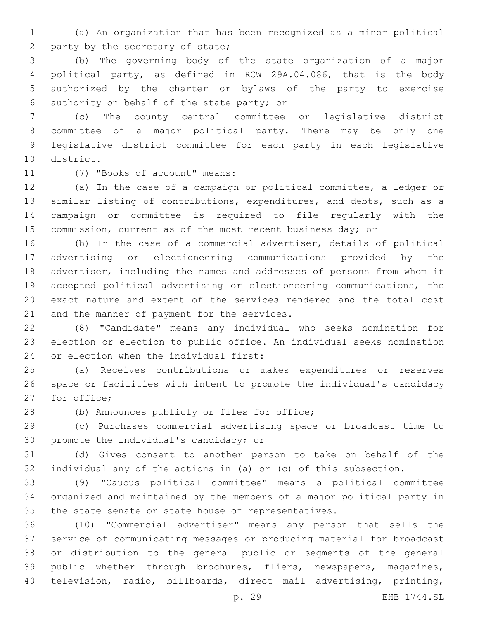(a) An organization that has been recognized as a minor political 2 party by the secretary of state;

 (b) The governing body of the state organization of a major political party, as defined in RCW 29A.04.086, that is the body authorized by the charter or bylaws of the party to exercise 6 authority on behalf of the state party; or

 (c) The county central committee or legislative district committee of a major political party. There may be only one legislative district committee for each party in each legislative 10 district.

11 (7) "Books of account" means:

 (a) In the case of a campaign or political committee, a ledger or similar listing of contributions, expenditures, and debts, such as a campaign or committee is required to file regularly with the 15 commission, current as of the most recent business day; or

 (b) In the case of a commercial advertiser, details of political advertising or electioneering communications provided by the advertiser, including the names and addresses of persons from whom it accepted political advertising or electioneering communications, the exact nature and extent of the services rendered and the total cost 21 and the manner of payment for the services.

 (8) "Candidate" means any individual who seeks nomination for election or election to public office. An individual seeks nomination 24 or election when the individual first:

 (a) Receives contributions or makes expenditures or reserves space or facilities with intent to promote the individual's candidacy 27 for office:

28 (b) Announces publicly or files for office;

 (c) Purchases commercial advertising space or broadcast time to 30 promote the individual's candidacy; or

 (d) Gives consent to another person to take on behalf of the individual any of the actions in (a) or (c) of this subsection.

 (9) "Caucus political committee" means a political committee organized and maintained by the members of a major political party in the state senate or state house of representatives.

 (10) "Commercial advertiser" means any person that sells the service of communicating messages or producing material for broadcast or distribution to the general public or segments of the general public whether through brochures, fliers, newspapers, magazines, television, radio, billboards, direct mail advertising, printing,

p. 29 EHB 1744.SL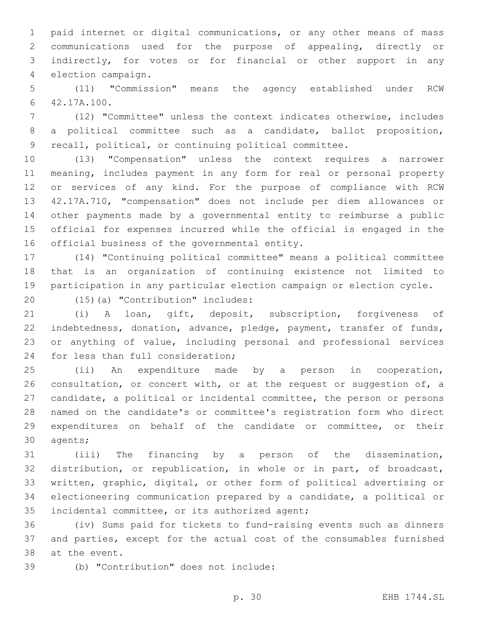paid internet or digital communications, or any other means of mass communications used for the purpose of appealing, directly or indirectly, for votes or for financial or other support in any 4 election campaign.

 (11) "Commission" means the agency established under RCW 42.17A.100.6

 (12) "Committee" unless the context indicates otherwise, includes a political committee such as a candidate, ballot proposition, recall, political, or continuing political committee.

 (13) "Compensation" unless the context requires a narrower meaning, includes payment in any form for real or personal property or services of any kind. For the purpose of compliance with RCW 42.17A.710, "compensation" does not include per diem allowances or other payments made by a governmental entity to reimburse a public official for expenses incurred while the official is engaged in the 16 official business of the governmental entity.

 (14) "Continuing political committee" means a political committee that is an organization of continuing existence not limited to participation in any particular election campaign or election cycle.

20 (15)(a) "Contribution" includes:

 (i) A loan, gift, deposit, subscription, forgiveness of indebtedness, donation, advance, pledge, payment, transfer of funds, or anything of value, including personal and professional services 24 for less than full consideration;

 (ii) An expenditure made by a person in cooperation, 26 consultation, or concert with, or at the request or suggestion of, a candidate, a political or incidental committee, the person or persons named on the candidate's or committee's registration form who direct expenditures on behalf of the candidate or committee, or their 30 agents;

 (iii) The financing by a person of the dissemination, distribution, or republication, in whole or in part, of broadcast, written, graphic, digital, or other form of political advertising or electioneering communication prepared by a candidate, a political or 35 incidental committee, or its authorized agent;

 (iv) Sums paid for tickets to fund-raising events such as dinners and parties, except for the actual cost of the consumables furnished 38 at the event.

(b) "Contribution" does not include:39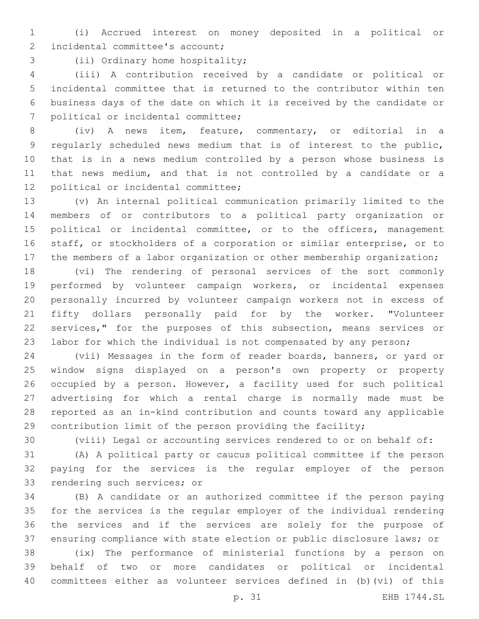(i) Accrued interest on money deposited in a political or 2 incidental committee's account;

3 (ii) Ordinary home hospitality;

 (iii) A contribution received by a candidate or political or incidental committee that is returned to the contributor within ten business days of the date on which it is received by the candidate or 7 political or incidental committee;

 (iv) A news item, feature, commentary, or editorial in a regularly scheduled news medium that is of interest to the public, that is in a news medium controlled by a person whose business is that news medium, and that is not controlled by a candidate or a 12 political or incidental committee;

 (v) An internal political communication primarily limited to the members of or contributors to a political party organization or 15 political or incidental committee, or to the officers, management staff, or stockholders of a corporation or similar enterprise, or to 17 the members of a labor organization or other membership organization;

 (vi) The rendering of personal services of the sort commonly performed by volunteer campaign workers, or incidental expenses personally incurred by volunteer campaign workers not in excess of fifty dollars personally paid for by the worker. "Volunteer services," for the purposes of this subsection, means services or labor for which the individual is not compensated by any person;

 (vii) Messages in the form of reader boards, banners, or yard or window signs displayed on a person's own property or property occupied by a person. However, a facility used for such political advertising for which a rental charge is normally made must be reported as an in-kind contribution and counts toward any applicable contribution limit of the person providing the facility;

(viii) Legal or accounting services rendered to or on behalf of:

 (A) A political party or caucus political committee if the person paying for the services is the regular employer of the person 33 rendering such services; or

 (B) A candidate or an authorized committee if the person paying for the services is the regular employer of the individual rendering the services and if the services are solely for the purpose of ensuring compliance with state election or public disclosure laws; or

 (ix) The performance of ministerial functions by a person on behalf of two or more candidates or political or incidental committees either as volunteer services defined in (b)(vi) of this

p. 31 EHB 1744.SL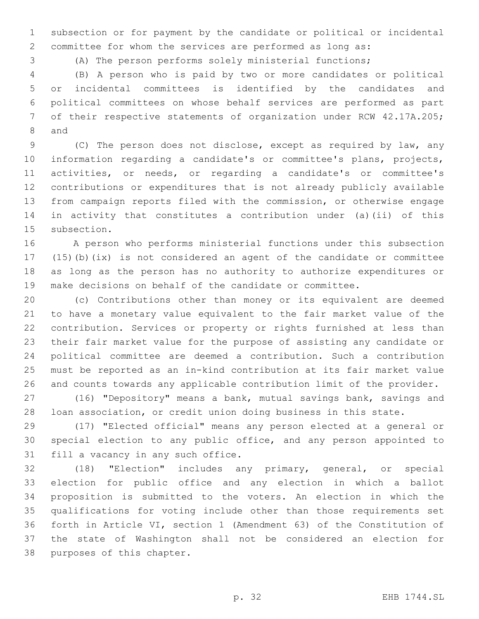subsection or for payment by the candidate or political or incidental committee for whom the services are performed as long as:

(A) The person performs solely ministerial functions;

 (B) A person who is paid by two or more candidates or political or incidental committees is identified by the candidates and political committees on whose behalf services are performed as part of their respective statements of organization under RCW 42.17A.205; 8 and

 (C) The person does not disclose, except as required by law, any information regarding a candidate's or committee's plans, projects, activities, or needs, or regarding a candidate's or committee's contributions or expenditures that is not already publicly available from campaign reports filed with the commission, or otherwise engage in activity that constitutes a contribution under (a)(ii) of this 15 subsection.

 A person who performs ministerial functions under this subsection (15)(b)(ix) is not considered an agent of the candidate or committee as long as the person has no authority to authorize expenditures or make decisions on behalf of the candidate or committee.

 (c) Contributions other than money or its equivalent are deemed to have a monetary value equivalent to the fair market value of the contribution. Services or property or rights furnished at less than their fair market value for the purpose of assisting any candidate or political committee are deemed a contribution. Such a contribution must be reported as an in-kind contribution at its fair market value and counts towards any applicable contribution limit of the provider.

 (16) "Depository" means a bank, mutual savings bank, savings and loan association, or credit union doing business in this state.

 (17) "Elected official" means any person elected at a general or special election to any public office, and any person appointed to 31 fill a vacancy in any such office.

 (18) "Election" includes any primary, general, or special election for public office and any election in which a ballot proposition is submitted to the voters. An election in which the qualifications for voting include other than those requirements set forth in Article VI, section 1 (Amendment 63) of the Constitution of the state of Washington shall not be considered an election for 38 purposes of this chapter.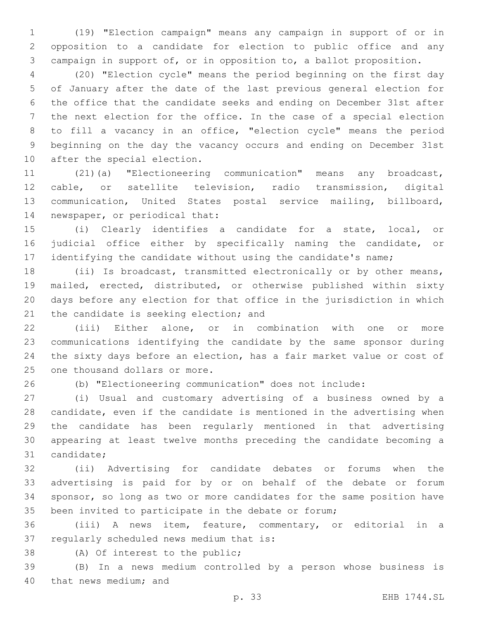(19) "Election campaign" means any campaign in support of or in opposition to a candidate for election to public office and any campaign in support of, or in opposition to, a ballot proposition.

 (20) "Election cycle" means the period beginning on the first day of January after the date of the last previous general election for the office that the candidate seeks and ending on December 31st after the next election for the office. In the case of a special election to fill a vacancy in an office, "election cycle" means the period beginning on the day the vacancy occurs and ending on December 31st 10 after the special election.

 (21)(a) "Electioneering communication" means any broadcast, cable, or satellite television, radio transmission, digital communication, United States postal service mailing, billboard, 14 newspaper, or periodical that:

 (i) Clearly identifies a candidate for a state, local, or judicial office either by specifically naming the candidate, or 17 identifying the candidate without using the candidate's name;

 (ii) Is broadcast, transmitted electronically or by other means, mailed, erected, distributed, or otherwise published within sixty days before any election for that office in the jurisdiction in which 21 the candidate is seeking election; and

 (iii) Either alone, or in combination with one or more communications identifying the candidate by the same sponsor during the sixty days before an election, has a fair market value or cost of 25 one thousand dollars or more.

(b) "Electioneering communication" does not include:

 (i) Usual and customary advertising of a business owned by a candidate, even if the candidate is mentioned in the advertising when the candidate has been regularly mentioned in that advertising appearing at least twelve months preceding the candidate becoming a 31 candidate;

 (ii) Advertising for candidate debates or forums when the advertising is paid for by or on behalf of the debate or forum sponsor, so long as two or more candidates for the same position have been invited to participate in the debate or forum;

 (iii) A news item, feature, commentary, or editorial in a 37 regularly scheduled news medium that is:

38 (A) Of interest to the public;

 (B) In a news medium controlled by a person whose business is 40 that news medium; and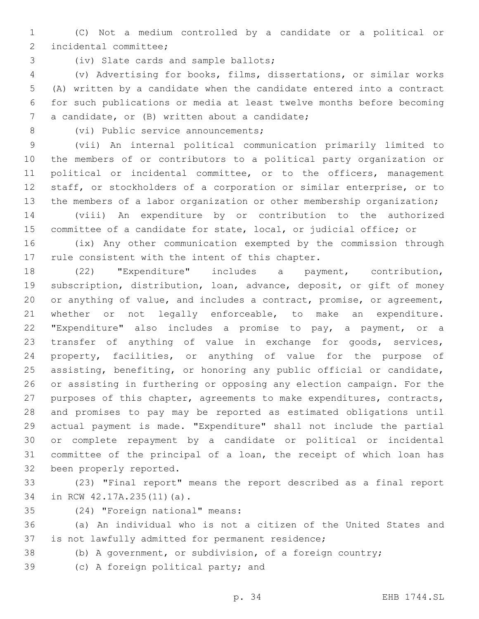(C) Not a medium controlled by a candidate or a political or 2 incidental committee;

3 (iv) Slate cards and sample ballots;

 (v) Advertising for books, films, dissertations, or similar works (A) written by a candidate when the candidate entered into a contract for such publications or media at least twelve months before becoming 7 a candidate, or (B) written about a candidate;

8 (vi) Public service announcements;

 (vii) An internal political communication primarily limited to the members of or contributors to a political party organization or political or incidental committee, or to the officers, management staff, or stockholders of a corporation or similar enterprise, or to 13 the members of a labor organization or other membership organization;

 (viii) An expenditure by or contribution to the authorized committee of a candidate for state, local, or judicial office; or

 (ix) Any other communication exempted by the commission through 17 rule consistent with the intent of this chapter.

 (22) "Expenditure" includes a payment, contribution, subscription, distribution, loan, advance, deposit, or gift of money or anything of value, and includes a contract, promise, or agreement, 21 whether or not legally enforceable, to make an expenditure. "Expenditure" also includes a promise to pay, a payment, or a transfer of anything of value in exchange for goods, services, property, facilities, or anything of value for the purpose of assisting, benefiting, or honoring any public official or candidate, or assisting in furthering or opposing any election campaign. For the purposes of this chapter, agreements to make expenditures, contracts, and promises to pay may be reported as estimated obligations until actual payment is made. "Expenditure" shall not include the partial or complete repayment by a candidate or political or incidental committee of the principal of a loan, the receipt of which loan has 32 been properly reported.

 (23) "Final report" means the report described as a final report 34 in RCW 42.17A.235(11)(a).

(24) "Foreign national" means:35

 (a) An individual who is not a citizen of the United States and 37 is not lawfully admitted for permanent residence;

(b) A government, or subdivision, of a foreign country;

39 (c) A foreign political party; and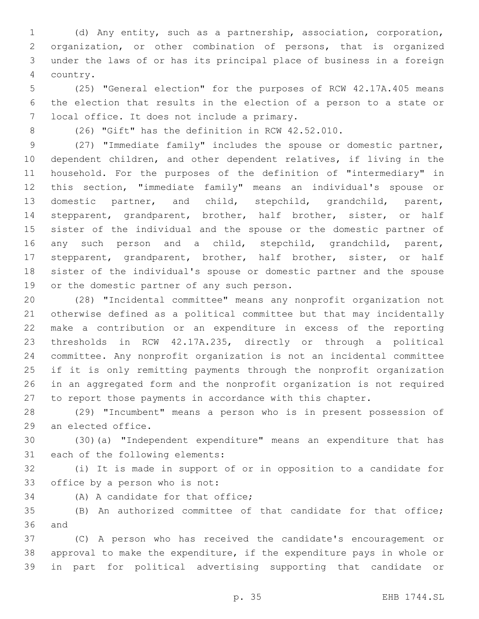(d) Any entity, such as a partnership, association, corporation, organization, or other combination of persons, that is organized under the laws of or has its principal place of business in a foreign country.4

 (25) "General election" for the purposes of RCW 42.17A.405 means the election that results in the election of a person to a state or 7 local office. It does not include a primary.

(26) "Gift" has the definition in RCW 42.52.010.

 (27) "Immediate family" includes the spouse or domestic partner, dependent children, and other dependent relatives, if living in the household. For the purposes of the definition of "intermediary" in this section, "immediate family" means an individual's spouse or domestic partner, and child, stepchild, grandchild, parent, stepparent, grandparent, brother, half brother, sister, or half sister of the individual and the spouse or the domestic partner of any such person and a child, stepchild, grandchild, parent, stepparent, grandparent, brother, half brother, sister, or half sister of the individual's spouse or domestic partner and the spouse 19 or the domestic partner of any such person.

 (28) "Incidental committee" means any nonprofit organization not otherwise defined as a political committee but that may incidentally make a contribution or an expenditure in excess of the reporting thresholds in RCW 42.17A.235, directly or through a political committee. Any nonprofit organization is not an incidental committee if it is only remitting payments through the nonprofit organization in an aggregated form and the nonprofit organization is not required to report those payments in accordance with this chapter.

 (29) "Incumbent" means a person who is in present possession of 29 an elected office.

 (30)(a) "Independent expenditure" means an expenditure that has 31 each of the following elements:

 (i) It is made in support of or in opposition to a candidate for 33 office by a person who is not:

34 (A) A candidate for that office;

 (B) An authorized committee of that candidate for that office; 36 and

 (C) A person who has received the candidate's encouragement or approval to make the expenditure, if the expenditure pays in whole or in part for political advertising supporting that candidate or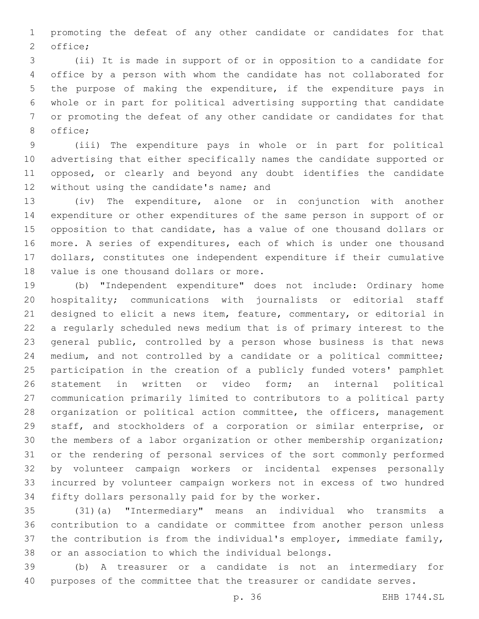promoting the defeat of any other candidate or candidates for that 2 office;

 (ii) It is made in support of or in opposition to a candidate for office by a person with whom the candidate has not collaborated for the purpose of making the expenditure, if the expenditure pays in whole or in part for political advertising supporting that candidate or promoting the defeat of any other candidate or candidates for that 8 office;

 (iii) The expenditure pays in whole or in part for political advertising that either specifically names the candidate supported or opposed, or clearly and beyond any doubt identifies the candidate 12 without using the candidate's name; and

 (iv) The expenditure, alone or in conjunction with another expenditure or other expenditures of the same person in support of or opposition to that candidate, has a value of one thousand dollars or more. A series of expenditures, each of which is under one thousand dollars, constitutes one independent expenditure if their cumulative 18 value is one thousand dollars or more.

 (b) "Independent expenditure" does not include: Ordinary home hospitality; communications with journalists or editorial staff designed to elicit a news item, feature, commentary, or editorial in a regularly scheduled news medium that is of primary interest to the general public, controlled by a person whose business is that news medium, and not controlled by a candidate or a political committee; participation in the creation of a publicly funded voters' pamphlet statement in written or video form; an internal political communication primarily limited to contributors to a political party organization or political action committee, the officers, management staff, and stockholders of a corporation or similar enterprise, or the members of a labor organization or other membership organization; or the rendering of personal services of the sort commonly performed by volunteer campaign workers or incidental expenses personally incurred by volunteer campaign workers not in excess of two hundred 34 fifty dollars personally paid for by the worker.

 (31)(a) "Intermediary" means an individual who transmits a contribution to a candidate or committee from another person unless the contribution is from the individual's employer, immediate family, or an association to which the individual belongs.

 (b) A treasurer or a candidate is not an intermediary for purposes of the committee that the treasurer or candidate serves.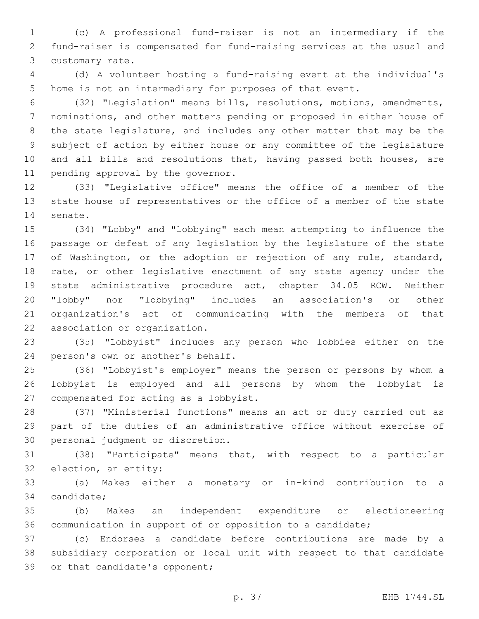(c) A professional fund-raiser is not an intermediary if the fund-raiser is compensated for fund-raising services at the usual and 3 customary rate.

 (d) A volunteer hosting a fund-raising event at the individual's home is not an intermediary for purposes of that event.

 (32) "Legislation" means bills, resolutions, motions, amendments, nominations, and other matters pending or proposed in either house of the state legislature, and includes any other matter that may be the subject of action by either house or any committee of the legislature 10 and all bills and resolutions that, having passed both houses, are 11 pending approval by the governor.

 (33) "Legislative office" means the office of a member of the state house of representatives or the office of a member of the state 14 senate.

 (34) "Lobby" and "lobbying" each mean attempting to influence the passage or defeat of any legislation by the legislature of the state of Washington, or the adoption or rejection of any rule, standard, rate, or other legislative enactment of any state agency under the state administrative procedure act, chapter 34.05 RCW. Neither "lobby" nor "lobbying" includes an association's or other organization's act of communicating with the members of that 22 association or organization.

 (35) "Lobbyist" includes any person who lobbies either on the 24 person's own or another's behalf.

 (36) "Lobbyist's employer" means the person or persons by whom a lobbyist is employed and all persons by whom the lobbyist is 27 compensated for acting as a lobbyist.

 (37) "Ministerial functions" means an act or duty carried out as part of the duties of an administrative office without exercise of 30 personal judgment or discretion.

 (38) "Participate" means that, with respect to a particular 32 election, an entity:

 (a) Makes either a monetary or in-kind contribution to a 34 candidate;

 (b) Makes an independent expenditure or electioneering communication in support of or opposition to a candidate;

 (c) Endorses a candidate before contributions are made by a subsidiary corporation or local unit with respect to that candidate 39 or that candidate's opponent;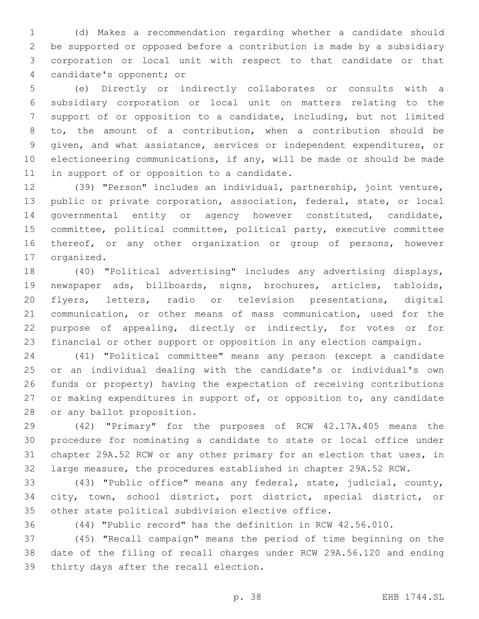(d) Makes a recommendation regarding whether a candidate should be supported or opposed before a contribution is made by a subsidiary corporation or local unit with respect to that candidate or that 4 candidate's opponent; or

 (e) Directly or indirectly collaborates or consults with a subsidiary corporation or local unit on matters relating to the support of or opposition to a candidate, including, but not limited to, the amount of a contribution, when a contribution should be given, and what assistance, services or independent expenditures, or electioneering communications, if any, will be made or should be made 11 in support of or opposition to a candidate.

 (39) "Person" includes an individual, partnership, joint venture, public or private corporation, association, federal, state, or local governmental entity or agency however constituted, candidate, committee, political committee, political party, executive committee thereof, or any other organization or group of persons, however 17 organized.

 (40) "Political advertising" includes any advertising displays, newspaper ads, billboards, signs, brochures, articles, tabloids, flyers, letters, radio or television presentations, digital communication, or other means of mass communication, used for the purpose of appealing, directly or indirectly, for votes or for financial or other support or opposition in any election campaign.

 (41) "Political committee" means any person (except a candidate or an individual dealing with the candidate's or individual's own funds or property) having the expectation of receiving contributions 27 or making expenditures in support of, or opposition to, any candidate 28 or any ballot proposition.

 (42) "Primary" for the purposes of RCW 42.17A.405 means the procedure for nominating a candidate to state or local office under chapter 29A.52 RCW or any other primary for an election that uses, in large measure, the procedures established in chapter 29A.52 RCW.

 (43) "Public office" means any federal, state, judicial, county, city, town, school district, port district, special district, or other state political subdivision elective office.

(44) "Public record" has the definition in RCW 42.56.010.

 (45) "Recall campaign" means the period of time beginning on the date of the filing of recall charges under RCW 29A.56.120 and ending 39 thirty days after the recall election.

p. 38 EHB 1744.SL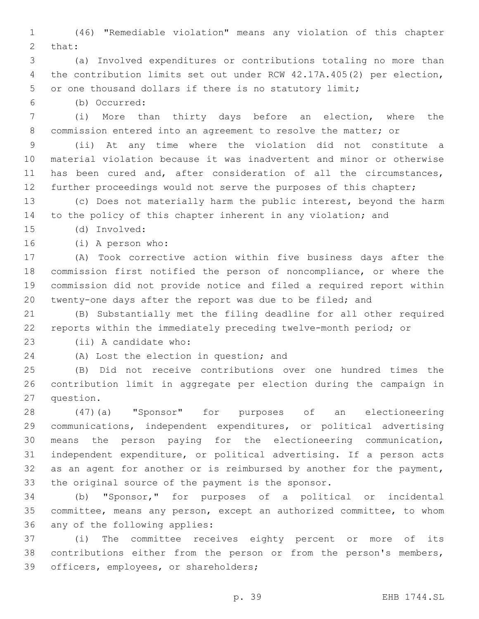(46) "Remediable violation" means any violation of this chapter 2 that:

 (a) Involved expenditures or contributions totaling no more than the contribution limits set out under RCW 42.17A.405(2) per election, or one thousand dollars if there is no statutory limit;

(b) Occurred:6

 (i) More than thirty days before an election, where the commission entered into an agreement to resolve the matter; or

 (ii) At any time where the violation did not constitute a material violation because it was inadvertent and minor or otherwise has been cured and, after consideration of all the circumstances, 12 further proceedings would not serve the purposes of this chapter;

 (c) Does not materially harm the public interest, beyond the harm to the policy of this chapter inherent in any violation; and

(d) Involved:15

16 (i) A person who:

 (A) Took corrective action within five business days after the commission first notified the person of noncompliance, or where the commission did not provide notice and filed a required report within twenty-one days after the report was due to be filed; and

 (B) Substantially met the filing deadline for all other required reports within the immediately preceding twelve-month period; or

23 (ii) A candidate who:

24 (A) Lost the election in question; and

 (B) Did not receive contributions over one hundred times the contribution limit in aggregate per election during the campaign in 27 question.

 (47)(a) "Sponsor" for purposes of an electioneering communications, independent expenditures, or political advertising means the person paying for the electioneering communication, independent expenditure, or political advertising. If a person acts 32 as an agent for another or is reimbursed by another for the payment, the original source of the payment is the sponsor.

 (b) "Sponsor," for purposes of a political or incidental committee, means any person, except an authorized committee, to whom 36 any of the following applies:

 (i) The committee receives eighty percent or more of its contributions either from the person or from the person's members, 39 officers, employees, or shareholders;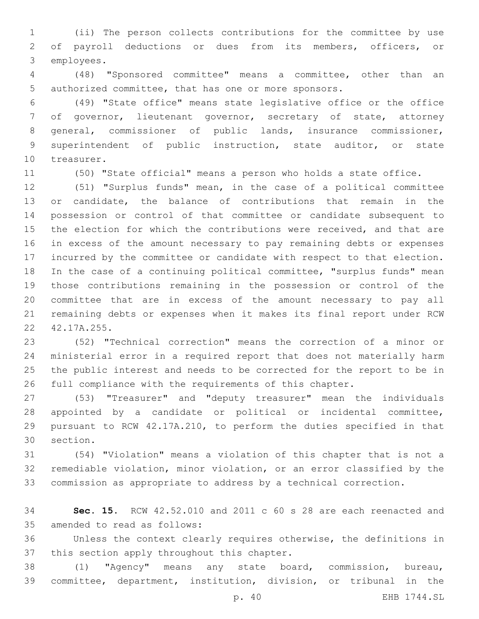(ii) The person collects contributions for the committee by use of payroll deductions or dues from its members, officers, or 3 employees.

 (48) "Sponsored committee" means a committee, other than an authorized committee, that has one or more sponsors.

 (49) "State office" means state legislative office or the office of governor, lieutenant governor, secretary of state, attorney general, commissioner of public lands, insurance commissioner, superintendent of public instruction, state auditor, or state 10 treasurer.

(50) "State official" means a person who holds a state office.

 (51) "Surplus funds" mean, in the case of a political committee or candidate, the balance of contributions that remain in the possession or control of that committee or candidate subsequent to 15 the election for which the contributions were received, and that are in excess of the amount necessary to pay remaining debts or expenses incurred by the committee or candidate with respect to that election. In the case of a continuing political committee, "surplus funds" mean those contributions remaining in the possession or control of the committee that are in excess of the amount necessary to pay all remaining debts or expenses when it makes its final report under RCW 22 42.17A.255.

 (52) "Technical correction" means the correction of a minor or ministerial error in a required report that does not materially harm the public interest and needs to be corrected for the report to be in full compliance with the requirements of this chapter.

 (53) "Treasurer" and "deputy treasurer" mean the individuals appointed by a candidate or political or incidental committee, pursuant to RCW 42.17A.210, to perform the duties specified in that 30 section.

 (54) "Violation" means a violation of this chapter that is not a remediable violation, minor violation, or an error classified by the commission as appropriate to address by a technical correction.

 **Sec. 15.** RCW 42.52.010 and 2011 c 60 s 28 are each reenacted and 35 amended to read as follows:

 Unless the context clearly requires otherwise, the definitions in 37 this section apply throughout this chapter.

 (1) "Agency" means any state board, commission, bureau, committee, department, institution, division, or tribunal in the

p. 40 EHB 1744.SL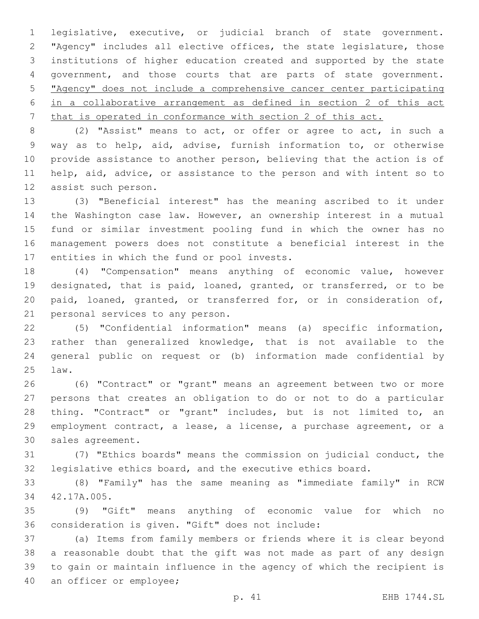legislative, executive, or judicial branch of state government. "Agency" includes all elective offices, the state legislature, those institutions of higher education created and supported by the state government, and those courts that are parts of state government. "Agency" does not include a comprehensive cancer center participating in a collaborative arrangement as defined in section 2 of this act that is operated in conformance with section 2 of this act.

 (2) "Assist" means to act, or offer or agree to act, in such a way as to help, aid, advise, furnish information to, or otherwise provide assistance to another person, believing that the action is of help, aid, advice, or assistance to the person and with intent so to 12 assist such person.

 (3) "Beneficial interest" has the meaning ascribed to it under the Washington case law. However, an ownership interest in a mutual fund or similar investment pooling fund in which the owner has no management powers does not constitute a beneficial interest in the 17 entities in which the fund or pool invests.

 (4) "Compensation" means anything of economic value, however designated, that is paid, loaned, granted, or transferred, or to be paid, loaned, granted, or transferred for, or in consideration of, 21 personal services to any person.

 (5) "Confidential information" means (a) specific information, rather than generalized knowledge, that is not available to the general public on request or (b) information made confidential by law.25

 (6) "Contract" or "grant" means an agreement between two or more persons that creates an obligation to do or not to do a particular thing. "Contract" or "grant" includes, but is not limited to, an employment contract, a lease, a license, a purchase agreement, or a 30 sales agreement.

 (7) "Ethics boards" means the commission on judicial conduct, the legislative ethics board, and the executive ethics board.

 (8) "Family" has the same meaning as "immediate family" in RCW 34 42.17A.005.

 (9) "Gift" means anything of economic value for which no 36 consideration is given. "Gift" does not include:

 (a) Items from family members or friends where it is clear beyond a reasonable doubt that the gift was not made as part of any design to gain or maintain influence in the agency of which the recipient is 40 an officer or employee;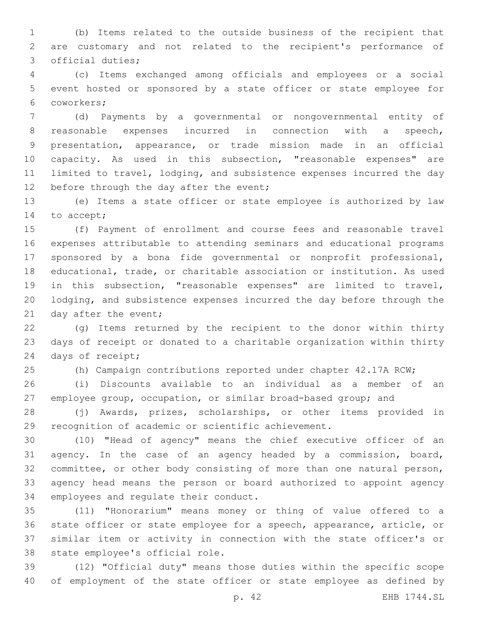(b) Items related to the outside business of the recipient that are customary and not related to the recipient's performance of 3 official duties;

 (c) Items exchanged among officials and employees or a social event hosted or sponsored by a state officer or state employee for coworkers;6

 (d) Payments by a governmental or nongovernmental entity of reasonable expenses incurred in connection with a speech, presentation, appearance, or trade mission made in an official capacity. As used in this subsection, "reasonable expenses" are limited to travel, lodging, and subsistence expenses incurred the day 12 before through the day after the event;

 (e) Items a state officer or state employee is authorized by law 14 to accept;

 (f) Payment of enrollment and course fees and reasonable travel expenses attributable to attending seminars and educational programs sponsored by a bona fide governmental or nonprofit professional, educational, trade, or charitable association or institution. As used in this subsection, "reasonable expenses" are limited to travel, lodging, and subsistence expenses incurred the day before through the 21 day after the event;

 (g) Items returned by the recipient to the donor within thirty days of receipt or donated to a charitable organization within thirty 24 days of receipt;

(h) Campaign contributions reported under chapter 42.17A RCW;

 (i) Discounts available to an individual as a member of an employee group, occupation, or similar broad-based group; and

 (j) Awards, prizes, scholarships, or other items provided in recognition of academic or scientific achievement.

 (10) "Head of agency" means the chief executive officer of an agency. In the case of an agency headed by a commission, board, committee, or other body consisting of more than one natural person, agency head means the person or board authorized to appoint agency 34 employees and regulate their conduct.

 (11) "Honorarium" means money or thing of value offered to a state officer or state employee for a speech, appearance, article, or similar item or activity in connection with the state officer's or 38 state employee's official role.

 (12) "Official duty" means those duties within the specific scope of employment of the state officer or state employee as defined by

p. 42 EHB 1744.SL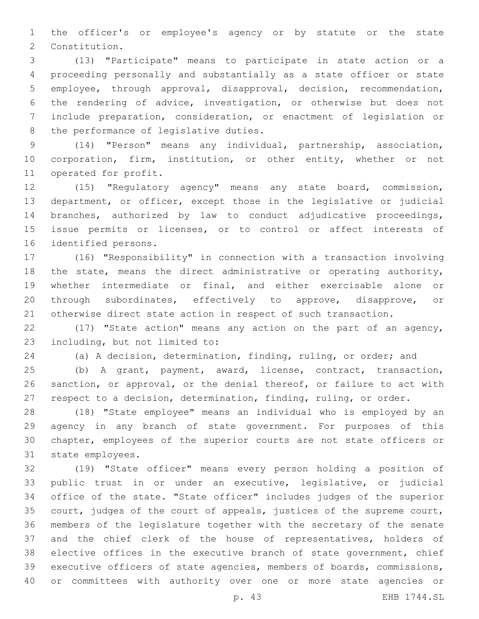the officer's or employee's agency or by statute or the state 2 Constitution.

 (13) "Participate" means to participate in state action or a proceeding personally and substantially as a state officer or state employee, through approval, disapproval, decision, recommendation, the rendering of advice, investigation, or otherwise but does not include preparation, consideration, or enactment of legislation or 8 the performance of legislative duties.

 (14) "Person" means any individual, partnership, association, corporation, firm, institution, or other entity, whether or not 11 operated for profit.

 (15) "Regulatory agency" means any state board, commission, department, or officer, except those in the legislative or judicial branches, authorized by law to conduct adjudicative proceedings, issue permits or licenses, or to control or affect interests of 16 identified persons.

 (16) "Responsibility" in connection with a transaction involving 18 the state, means the direct administrative or operating authority, whether intermediate or final, and either exercisable alone or through subordinates, effectively to approve, disapprove, or otherwise direct state action in respect of such transaction.

 (17) "State action" means any action on the part of an agency, 23 including, but not limited to:

(a) A decision, determination, finding, ruling, or order; and

 (b) A grant, payment, award, license, contract, transaction, sanction, or approval, or the denial thereof, or failure to act with respect to a decision, determination, finding, ruling, or order.

 (18) "State employee" means an individual who is employed by an agency in any branch of state government. For purposes of this chapter, employees of the superior courts are not state officers or 31 state employees.

 (19) "State officer" means every person holding a position of public trust in or under an executive, legislative, or judicial office of the state. "State officer" includes judges of the superior court, judges of the court of appeals, justices of the supreme court, members of the legislature together with the secretary of the senate and the chief clerk of the house of representatives, holders of elective offices in the executive branch of state government, chief executive officers of state agencies, members of boards, commissions, or committees with authority over one or more state agencies or

p. 43 EHB 1744.SL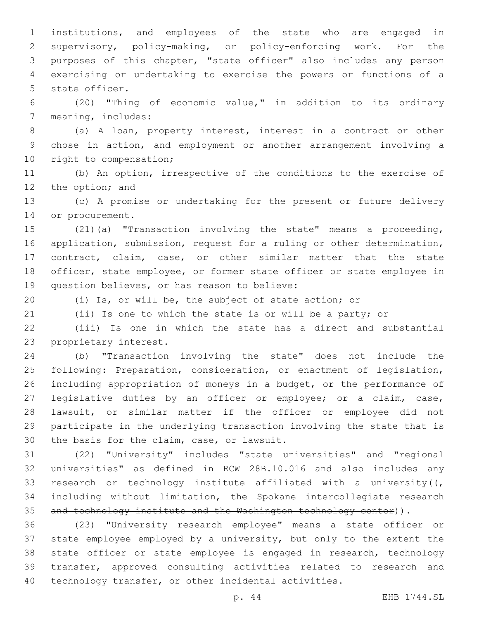institutions, and employees of the state who are engaged in supervisory, policy-making, or policy-enforcing work. For the purposes of this chapter, "state officer" also includes any person exercising or undertaking to exercise the powers or functions of a 5 state officer.

 (20) "Thing of economic value," in addition to its ordinary 7 meaning, includes:

 (a) A loan, property interest, interest in a contract or other chose in action, and employment or another arrangement involving a 10 right to compensation;

 (b) An option, irrespective of the conditions to the exercise of 12 the option; and

 (c) A promise or undertaking for the present or future delivery 14 or procurement.

 (21)(a) "Transaction involving the state" means a proceeding, application, submission, request for a ruling or other determination, contract, claim, case, or other similar matter that the state officer, state employee, or former state officer or state employee in 19 question believes, or has reason to believe:

(i) Is, or will be, the subject of state action; or

(ii) Is one to which the state is or will be a party; or

 (iii) Is one in which the state has a direct and substantial 23 proprietary interest.

 (b) "Transaction involving the state" does not include the following: Preparation, consideration, or enactment of legislation, including appropriation of moneys in a budget, or the performance of legislative duties by an officer or employee; or a claim, case, lawsuit, or similar matter if the officer or employee did not participate in the underlying transaction involving the state that is 30 the basis for the claim, case, or lawsuit.

 (22) "University" includes "state universities" and "regional universities" as defined in RCW 28B.10.016 and also includes any 33 research or technology institute affiliated with a university( $(\tau)$  including without limitation, the Spokane intercollegiate research 35 and technology institute and the Washington technology center)).

 (23) "University research employee" means a state officer or state employee employed by a university, but only to the extent the state officer or state employee is engaged in research, technology transfer, approved consulting activities related to research and technology transfer, or other incidental activities.